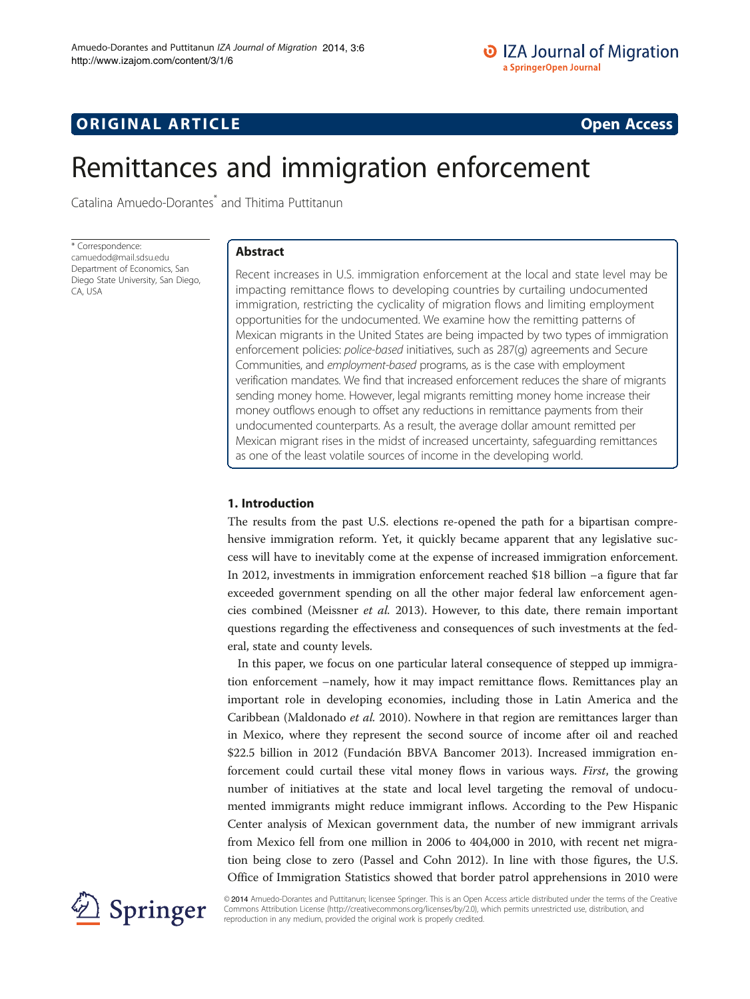# **ORIGINAL ARTICLE CONSERVANCE IN A LOCAL CONSERVANCE IN A LOCAL CONSERVANCE IN A LOCAL CONSERVANCE IN A LOCAL CONSERVANCE IN A LOCAL CONSERVANCE IN A LOCAL CONSERVANCE IN A LOCAL CONSERVANCE IN A LOCAL CONSERVANCE IN A L**

# Remittances and immigration enforcement

Catalina Amuedo-Dorantes\* and Thitima Puttitanun

\* Correspondence: [camuedod@mail.sdsu.edu](mailto:camuedod@mail.sdsu.edu) Department of Economics, San Diego State University, San Diego, CA, USA

# Abstract

Recent increases in U.S. immigration enforcement at the local and state level may be impacting remittance flows to developing countries by curtailing undocumented immigration, restricting the cyclicality of migration flows and limiting employment opportunities for the undocumented. We examine how the remitting patterns of Mexican migrants in the United States are being impacted by two types of immigration enforcement policies: police-based initiatives, such as 287(g) agreements and Secure Communities, and employment-based programs, as is the case with employment verification mandates. We find that increased enforcement reduces the share of migrants sending money home. However, legal migrants remitting money home increase their money outflows enough to offset any reductions in remittance payments from their undocumented counterparts. As a result, the average dollar amount remitted per Mexican migrant rises in the midst of increased uncertainty, safeguarding remittances as one of the least volatile sources of income in the developing world.

# 1. Introduction

The results from the past U.S. elections re-opened the path for a bipartisan comprehensive immigration reform. Yet, it quickly became apparent that any legislative success will have to inevitably come at the expense of increased immigration enforcement. In 2012, investments in immigration enforcement reached \$18 billion –a figure that far exceeded government spending on all the other major federal law enforcement agencies combined (Meissner et al. [2013\)](#page-25-0). However, to this date, there remain important questions regarding the effectiveness and consequences of such investments at the federal, state and county levels.

In this paper, we focus on one particular lateral consequence of stepped up immigration enforcement –namely, how it may impact remittance flows. Remittances play an important role in developing economies, including those in Latin America and the Caribbean (Maldonado et al. [2010\)](#page-24-0). Nowhere in that region are remittances larger than in Mexico, where they represent the second source of income after oil and reached \$22.5 billion in 2012 (Fundación BBVA Bancomer [2013\)](#page-24-0). Increased immigration enforcement could curtail these vital money flows in various ways. First, the growing number of initiatives at the state and local level targeting the removal of undocumented immigrants might reduce immigrant inflows. According to the Pew Hispanic Center analysis of Mexican government data, the number of new immigrant arrivals from Mexico fell from one million in 2006 to 404,000 in 2010, with recent net migration being close to zero (Passel and Cohn [2012\)](#page-25-0). In line with those figures, the U.S. Office of Immigration Statistics showed that border patrol apprehensions in 2010 were



© 2014 Amuedo-Dorantes and Puttitanun; licensee Springer. This is an Open Access article distributed under the terms of the Creative Commons Attribution License (<http://creativecommons.org/licenses/by/2.0>), which permits unrestricted use, distribution, and reproduction in any medium, provided the original work is properly credited.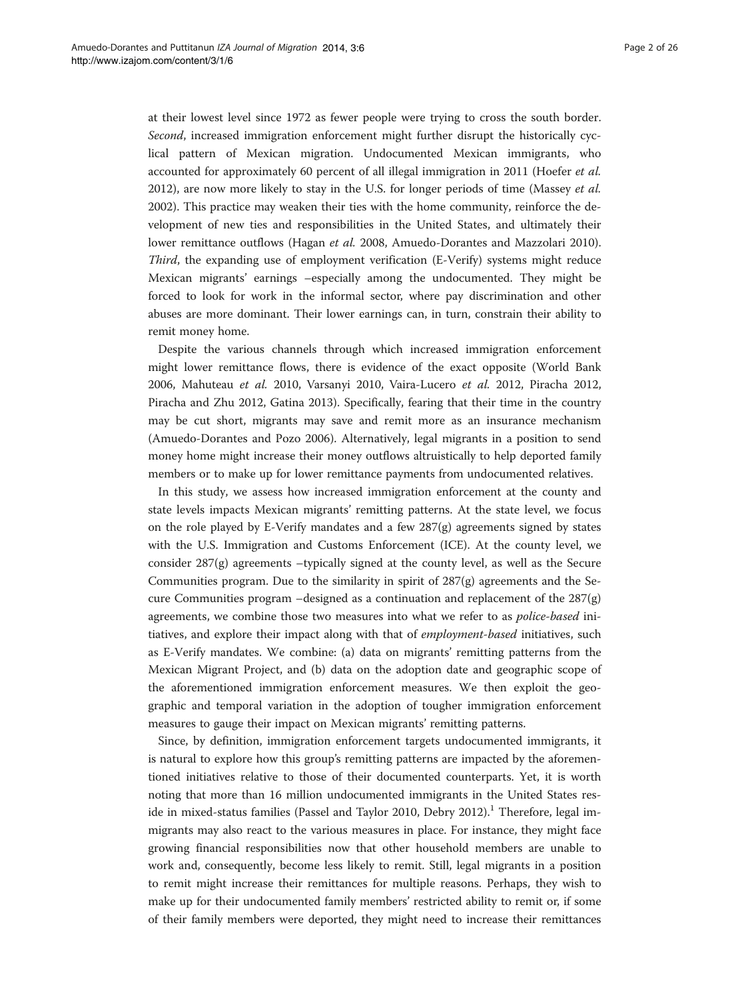at their lowest level since 1972 as fewer people were trying to cross the south border. Second, increased immigration enforcement might further disrupt the historically cyclical pattern of Mexican migration. Undocumented Mexican immigrants, who accounted for approximately 60 percent of all illegal immigration in 2011 (Hoefer et al. [2012](#page-24-0)), are now more likely to stay in the U.S. for longer periods of time (Massey et al. [2002](#page-24-0)). This practice may weaken their ties with the home community, reinforce the development of new ties and responsibilities in the United States, and ultimately their lower remittance outflows (Hagan et al. [2008,](#page-24-0) Amuedo-Dorantes and Mazzolari [2010](#page-24-0)). Third, the expanding use of employment verification (E-Verify) systems might reduce Mexican migrants' earnings –especially among the undocumented. They might be forced to look for work in the informal sector, where pay discrimination and other abuses are more dominant. Their lower earnings can, in turn, constrain their ability to remit money home.

Despite the various channels through which increased immigration enforcement might lower remittance flows, there is evidence of the exact opposite (World Bank [2006](#page-25-0), Mahuteau et al. [2010](#page-24-0), Varsanyi [2010,](#page-25-0) Vaira-Lucero et al. [2012,](#page-24-0) Piracha [2012](#page-25-0), Piracha and Zhu 2012, Gatina [2013\)](#page-24-0). Specifically, fearing that their time in the country may be cut short, migrants may save and remit more as an insurance mechanism (Amuedo-Dorantes and Pozo [2006](#page-24-0)). Alternatively, legal migrants in a position to send money home might increase their money outflows altruistically to help deported family members or to make up for lower remittance payments from undocumented relatives.

In this study, we assess how increased immigration enforcement at the county and state levels impacts Mexican migrants' remitting patterns. At the state level, we focus on the role played by E-Verify mandates and a few  $287(g)$  agreements signed by states with the U.S. [Immigration and Customs Enforcement \(ICE\)](#page-24-0). At the county level, we consider  $287(g)$  agreements –typically signed at the county level, as well as the Secure Communities program. Due to the similarity in spirit of 287(g) agreements and the Secure Communities program –designed as a continuation and replacement of the  $287(g)$ agreements, we combine those two measures into what we refer to as police-based initiatives, and explore their impact along with that of employment-based initiatives, such as E-Verify mandates. We combine: (a) data on migrants' remitting patterns from the Mexican Migrant Project, and (b) data on the adoption date and geographic scope of the aforementioned immigration enforcement measures. We then exploit the geographic and temporal variation in the adoption of tougher immigration enforcement measures to gauge their impact on Mexican migrants' remitting patterns.

Since, by definition, immigration enforcement targets undocumented immigrants, it is natural to explore how this group's remitting patterns are impacted by the aforementioned initiatives relative to those of their documented counterparts. Yet, it is worth noting that more than 16 million undocumented immigrants in the United States res-ide in mixed-status families (Passel and Taylor [2010](#page-25-0), Debry  $2012$ ).<sup>1</sup> Therefore, legal immigrants may also react to the various measures in place. For instance, they might face growing financial responsibilities now that other household members are unable to work and, consequently, become less likely to remit. Still, legal migrants in a position to remit might increase their remittances for multiple reasons. Perhaps, they wish to make up for their undocumented family members' restricted ability to remit or, if some of their family members were deported, they might need to increase their remittances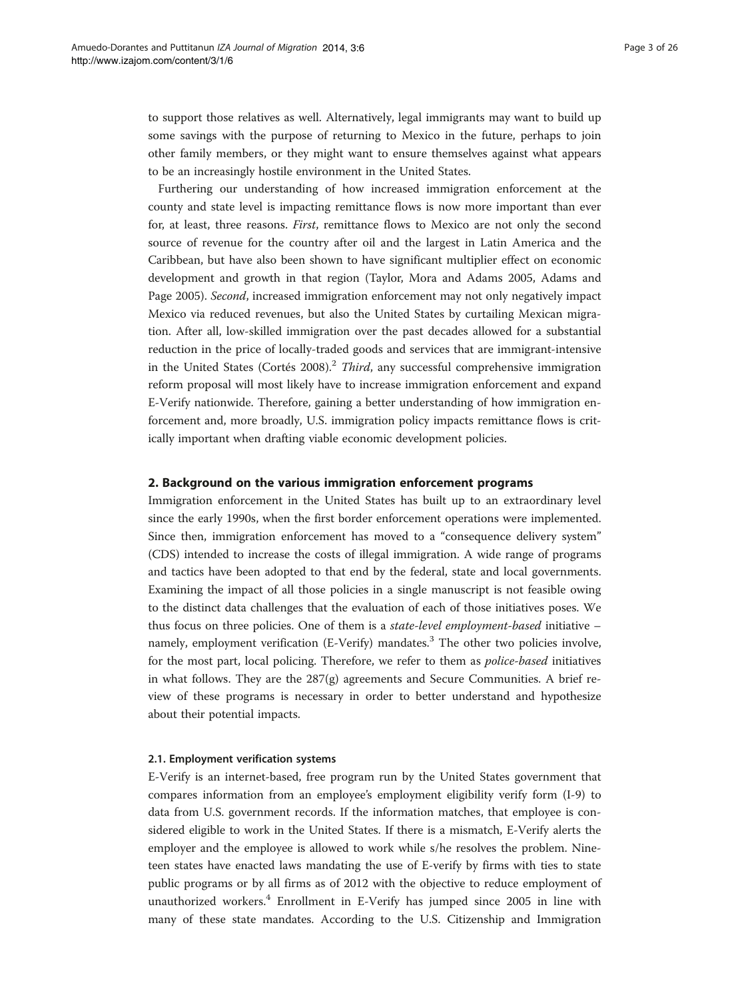to support those relatives as well. Alternatively, legal immigrants may want to build up some savings with the purpose of returning to Mexico in the future, perhaps to join other family members, or they might want to ensure themselves against what appears to be an increasingly hostile environment in the United States.

Furthering our understanding of how increased immigration enforcement at the county and state level is impacting remittance flows is now more important than ever for, at least, three reasons. First, remittance flows to Mexico are not only the second source of revenue for the country after oil and the largest in Latin America and the Caribbean, but have also been shown to have significant multiplier effect on economic development and growth in that region (Taylor, Mora and Adams [2005](#page-25-0), Adams and Page [2005](#page-24-0)). Second, increased immigration enforcement may not only negatively impact Mexico via reduced revenues, but also the United States by curtailing Mexican migration. After all, low-skilled immigration over the past decades allowed for a substantial reduction in the price of locally-traded goods and services that are immigrant-intensive in the United States (Cortés [2008](#page-24-0)).<sup>2</sup> Third, any successful comprehensive immigration reform proposal will most likely have to increase immigration enforcement and expand E-Verify nationwide. Therefore, gaining a better understanding of how immigration enforcement and, more broadly, U.S. immigration policy impacts remittance flows is critically important when drafting viable economic development policies.

#### 2. Background on the various immigration enforcement programs

Immigration enforcement in the United States has built up to an extraordinary level since the early 1990s, when the first border enforcement operations were implemented. Since then, immigration enforcement has moved to a "consequence delivery system" (CDS) intended to increase the costs of illegal immigration. A wide range of programs and tactics have been adopted to that end by the federal, state and local governments. Examining the impact of all those policies in a single manuscript is not feasible owing to the distinct data challenges that the evaluation of each of those initiatives poses. We thus focus on three policies. One of them is a state-level employment-based initiative – namely, employment verification (E-Verify) mandates.<sup>3</sup> The other two policies involve, for the most part, local policing. Therefore, we refer to them as police-based initiatives in what follows. They are the 287(g) agreements and Secure Communities. A brief review of these programs is necessary in order to better understand and hypothesize about their potential impacts.

### 2.1. Employment verification systems

E-Verify is an internet-based, free program run by the United States government that compares information from an employee's employment eligibility verify form (I-9) to data from U.S. government records. If the information matches, that employee is considered eligible to work in the United States. If there is a mismatch, E-Verify alerts the employer and the employee is allowed to work while s/he resolves the problem. Nineteen states have enacted laws mandating the use of E-verify by firms with ties to state public programs or by all firms as of 2012 with the objective to reduce employment of unauthorized workers.<sup>4</sup> Enrollment in E-Verify has jumped since 2005 in line with many of these state mandates. According to the U.S. Citizenship and Immigration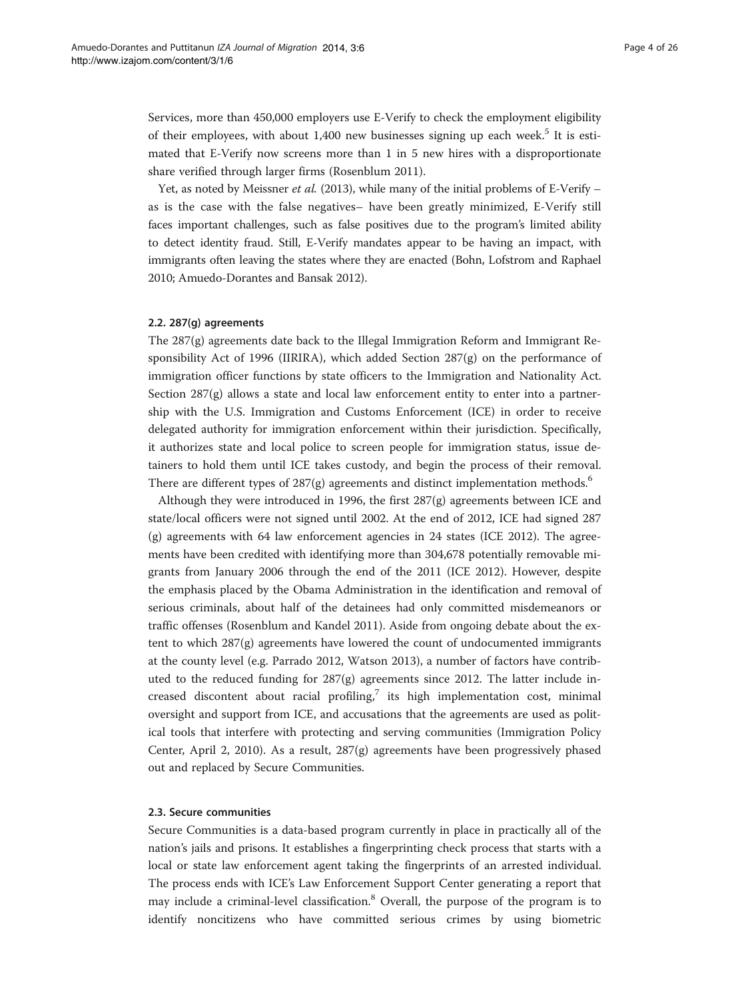Services, more than 450,000 employers use E-Verify to check the employment eligibility of their employees, with about 1,400 new businesses signing up each week.<sup>5</sup> It is estimated that E-Verify now screens more than 1 in 5 new hires with a disproportionate share verified through larger firms (Rosenblum [2011\)](#page-25-0).

Yet, as noted by Meissner *et al.* ([2013](#page-25-0)), while many of the initial problems of E-Verify – as is the case with the false negatives– have been greatly minimized, E-Verify still faces important challenges, such as false positives due to the program's limited ability to detect identity fraud. Still, E-Verify mandates appear to be having an impact, with immigrants often leaving the states where they are enacted (Bohn, Lofstrom and Raphael [2010;](#page-24-0) Amuedo-Dorantes and Bansak [2012](#page-24-0)).

#### 2.2. 287(g) agreements

The 287(g) agreements date back to the Illegal Immigration Reform and Immigrant Responsibility Act of 1996 (IIRIRA), which added Section  $287(g)$  on the performance of immigration officer functions by state officers to the Immigration and Nationality Act. Section  $287(g)$  allows a state and local law enforcement entity to enter into a partnership with the U.S. Immigration and Customs Enforcement (ICE) in order to receive delegated authority for immigration enforcement within their jurisdiction. Specifically, it authorizes state and local police to screen people for immigration status, issue detainers to hold them until ICE takes custody, and begin the process of their removal. There are different types of 287(g) agreements and distinct implementation methods.<sup>6</sup>

Although they were introduced in 1996, the first  $287(g)$  agreements between ICE and state/local officers were not signed until 2002. At the end of 2012, ICE had signed 287 (g) agreements with 64 law enforcement agencies in 24 states (ICE [2012](#page-24-0)). The agreements have been credited with identifying more than 304,678 potentially removable migrants from January 2006 through the end of the 2011 (ICE [2012](#page-24-0)). However, despite the emphasis placed by the Obama Administration in the identification and removal of serious criminals, about half of the detainees had only committed misdemeanors or traffic offenses (Rosenblum and Kandel [2011\)](#page-25-0). Aside from ongoing debate about the extent to which 287(g) agreements have lowered the count of undocumented immigrants at the county level (e.g. Parrado [2012,](#page-25-0) Watson [2013\)](#page-25-0), a number of factors have contributed to the reduced funding for  $287(g)$  agreements since 2012. The latter include increased discontent about racial profiling, $\frac{7}{1}$  its high implementation cost, minimal oversight and support from ICE, and accusations that the agreements are used as political tools that interfere with protecting and serving communities (Immigration Policy Center, April 2, [2010\)](#page-24-0). As a result,  $287(g)$  agreements have been progressively phased out and replaced by Secure Communities.

#### 2.3. Secure communities

Secure Communities is a data-based program currently in place in practically all of the nation's jails and prisons. It establishes a fingerprinting check process that starts with a local or state law enforcement agent taking the fingerprints of an arrested individual. The process ends with ICE's Law Enforcement Support Center generating a report that may include a criminal-level classification.<sup>8</sup> Overall, the purpose of the program is to identify noncitizens who have committed serious crimes by using biometric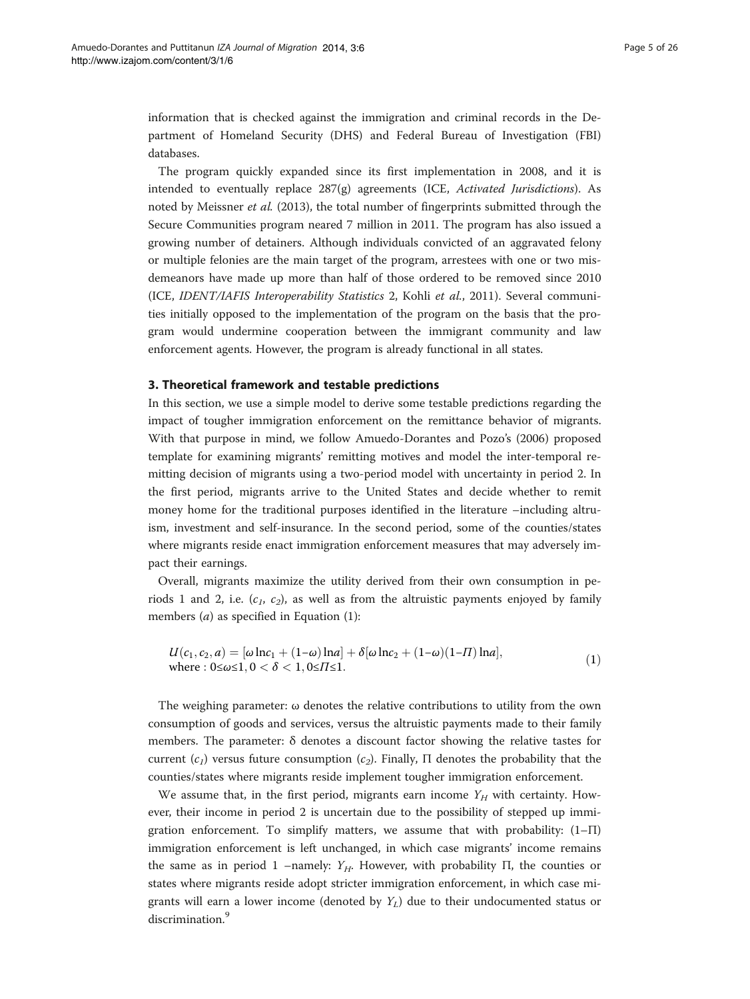<span id="page-4-0"></span>information that is checked against the immigration and criminal records in the Department of Homeland Security (DHS) and Federal Bureau of Investigation (FBI) databases.

The program quickly expanded since its first implementation in 2008, and it is intended to eventually replace  $287(g)$  agreements (ICE, Activated Jurisdictions). As noted by Meissner et al. [\(2013\)](#page-25-0), the total number of fingerprints submitted through the Secure Communities program neared 7 million in 2011. The program has also issued a growing number of detainers. Although individuals convicted of an aggravated felony or multiple felonies are the main target of the program, arrestees with one or two misdemeanors have made up more than half of those ordered to be removed since 2010 (ICE, IDENT/IAFIS Interoperability Statistics 2, Kohli et al., [2011\)](#page-24-0). Several communities initially opposed to the implementation of the program on the basis that the program would undermine cooperation between the immigrant community and law enforcement agents. However, the program is already functional in all states.

#### 3. Theoretical framework and testable predictions

In this section, we use a simple model to derive some testable predictions regarding the impact of tougher immigration enforcement on the remittance behavior of migrants. With that purpose in mind, we follow Amuedo-Dorantes and Pozo's [\(2006\)](#page-24-0) proposed template for examining migrants' remitting motives and model the inter-temporal remitting decision of migrants using a two-period model with uncertainty in period 2. In the first period, migrants arrive to the United States and decide whether to remit money home for the traditional purposes identified in the literature –including altruism, investment and self-insurance. In the second period, some of the counties/states where migrants reside enact immigration enforcement measures that may adversely impact their earnings.

Overall, migrants maximize the utility derived from their own consumption in periods 1 and 2, i.e.  $(c_1, c_2)$ , as well as from the altruistic payments enjoyed by family members  $(a)$  as specified in Equation (1):

$$
U(c_1, c_2, a) = [\omega \ln c_1 + (1-\omega) \ln a] + \delta[\omega \ln c_2 + (1-\omega)(1-\Pi) \ln a],
$$
  
where:  $0 \le \omega \le 1, 0 < \delta < 1, 0 \le \Pi \le 1.$  (1)

The weighing parameter:  $\omega$  denotes the relative contributions to utility from the own consumption of goods and services, versus the altruistic payments made to their family members. The parameter:  $\delta$  denotes a discount factor showing the relative tastes for current  $(c_1)$  versus future consumption  $(c_2)$ . Finally,  $\Pi$  denotes the probability that the counties/states where migrants reside implement tougher immigration enforcement.

We assume that, in the first period, migrants earn income  $Y_H$  with certainty. However, their income in period 2 is uncertain due to the possibility of stepped up immigration enforcement. To simplify matters, we assume that with probability:  $(1-\Pi)$ immigration enforcement is left unchanged, in which case migrants' income remains the same as in period 1 –namely:  $Y_H$ . However, with probability Π, the counties or states where migrants reside adopt stricter immigration enforcement, in which case migrants will earn a lower income (denoted by  $Y_l$ ) due to their undocumented status or discrimination.<sup>9</sup>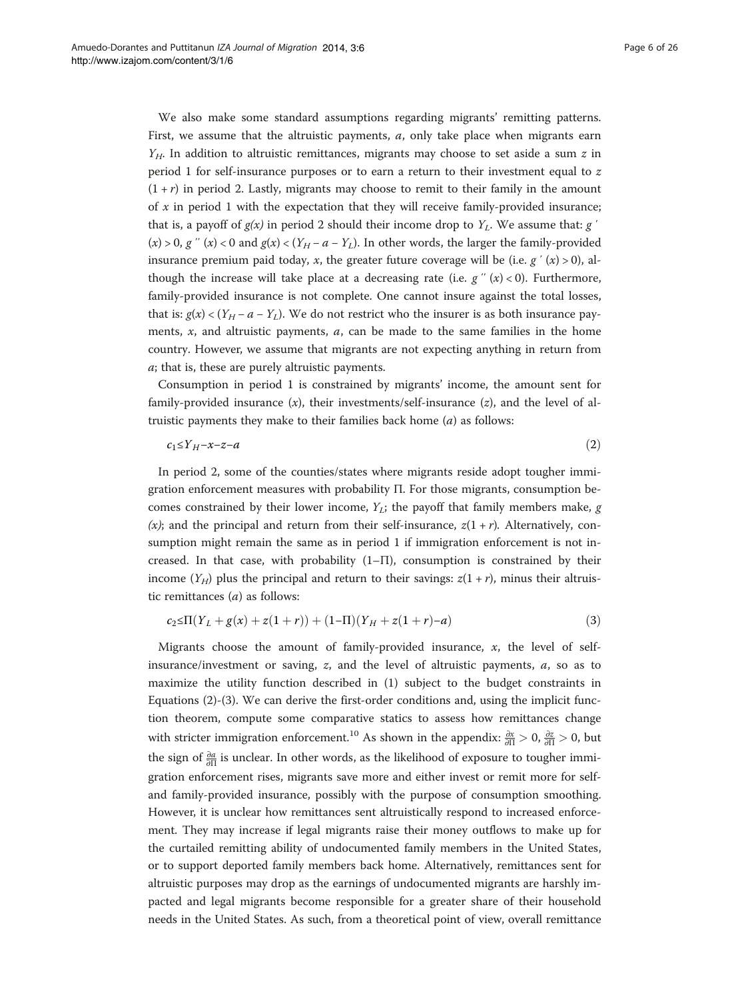We also make some standard assumptions regarding migrants' remitting patterns. First, we assume that the altruistic payments, a, only take place when migrants earn  $Y_H$ . In addition to altruistic remittances, migrants may choose to set aside a sum  $z$  in period 1 for self-insurance purposes or to earn a return to their investment equal to z  $(1 + r)$  in period 2. Lastly, migrants may choose to remit to their family in the amount of  $x$  in period 1 with the expectation that they will receive family-provided insurance; that is, a payoff of  $g(x)$  in period 2 should their income drop to  $Y_L$ . We assume that: g'  $(x) > 0$ ,  $g''(x) < 0$  and  $g(x) < (Y_H - a - Y_L)$ . In other words, the larger the family-provided insurance premium paid today, x, the greater future coverage will be (i.e.  $g'(x) > 0$ ), although the increase will take place at a decreasing rate (i.e.  $g''(x) < 0$ ). Furthermore, family-provided insurance is not complete. One cannot insure against the total losses, that is:  $g(x) < (Y_H - a - Y_L)$ . We do not restrict who the insurer is as both insurance payments, x, and altruistic payments, a, can be made to the same families in the home country. However, we assume that migrants are not expecting anything in return from a; that is, these are purely altruistic payments.

Consumption in period 1 is constrained by migrants' income, the amount sent for family-provided insurance  $(x)$ , their investments/self-insurance  $(z)$ , and the level of altruistic payments they make to their families back home  $(a)$  as follows:

$$
c_1 \le Y_H - x - z - a \tag{2}
$$

In period 2, some of the counties/states where migrants reside adopt tougher immigration enforcement measures with probability Π. For those migrants, consumption becomes constrained by their lower income,  $Y_L$ ; the payoff that family members make, g (x); and the principal and return from their self-insurance,  $z(1 + r)$ . Alternatively, consumption might remain the same as in period 1 if immigration enforcement is not increased. In that case, with probability  $(1-\Pi)$ , consumption is constrained by their income  $(Y_H)$  plus the principal and return to their savings:  $z(1 + r)$ , minus their altruistic remittances (a) as follows:

$$
c_2 \le \Pi(Y_L + g(x) + z(1+r)) + (1-\Pi)(Y_H + z(1+r) - a)
$$
\n(3)

Migrants choose the amount of family-provided insurance,  $x$ , the level of selfinsurance/investment or saving,  $z$ , and the level of altruistic payments,  $a$ , so as to maximize the utility function described in [\(1](#page-4-0)) subject to the budget constraints in Equations  $(2)-(3)$ . We can derive the first-order conditions and, using the implicit function theorem, compute some comparative statics to assess how remittances change with stricter immigration enforcement.<sup>10</sup> As shown in the appendix:  $\frac{\partial x}{\partial \Pi} > 0$ ,  $\frac{\partial z}{\partial \Pi} > 0$ , but the sign of  $\frac{\partial a}{\partial \Pi}$  is unclear. In other words, as the likelihood of exposure to tougher immigration enforcement rises, migrants save more and either invest or remit more for selfand family-provided insurance, possibly with the purpose of consumption smoothing. However, it is unclear how remittances sent altruistically respond to increased enforcement. They may increase if legal migrants raise their money outflows to make up for the curtailed remitting ability of undocumented family members in the United States, or to support deported family members back home. Alternatively, remittances sent for altruistic purposes may drop as the earnings of undocumented migrants are harshly impacted and legal migrants become responsible for a greater share of their household needs in the United States. As such, from a theoretical point of view, overall remittance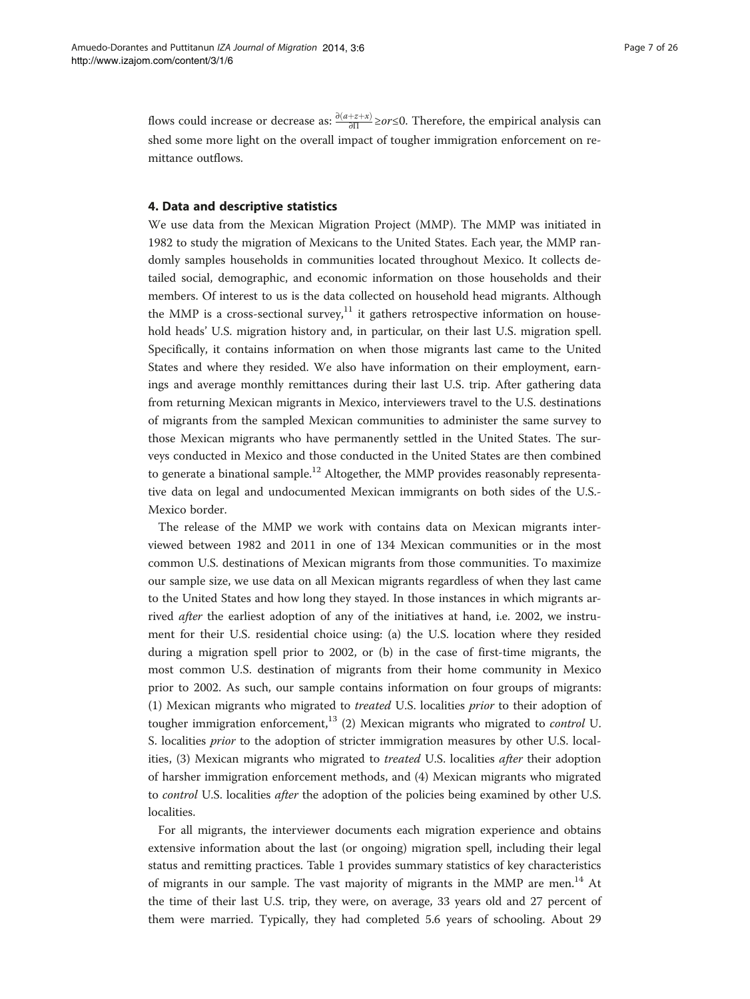flows could increase or decrease as:  $\frac{\partial (a+z+x)}{\partial \Pi} \geq or \leq 0$ . Therefore, the empirical analysis can shed some more light on the overall impact of tougher immigration enforcement on remittance outflows.

#### 4. Data and descriptive statistics

We use data from the Mexican Migration Project (MMP). The MMP was initiated in 1982 to study the migration of Mexicans to the United States. Each year, the MMP randomly samples households in communities located throughout Mexico. It collects detailed social, demographic, and economic information on those households and their members. Of interest to us is the data collected on household head migrants. Although the MMP is a cross-sectional survey, $11$  it gathers retrospective information on household heads' U.S. migration history and, in particular, on their last U.S. migration spell. Specifically, it contains information on when those migrants last came to the United States and where they resided. We also have information on their employment, earnings and average monthly remittances during their last U.S. trip. After gathering data from returning Mexican migrants in Mexico, interviewers travel to the U.S. destinations of migrants from the sampled Mexican communities to administer the same survey to those Mexican migrants who have permanently settled in the United States. The surveys conducted in Mexico and those conducted in the United States are then combined to generate a binational sample.<sup>12</sup> Altogether, the MMP provides reasonably representative data on legal and undocumented Mexican immigrants on both sides of the U.S.- Mexico border.

The release of the MMP we work with contains data on Mexican migrants interviewed between 1982 and 2011 in one of 134 Mexican communities or in the most common U.S. destinations of Mexican migrants from those communities. To maximize our sample size, we use data on all Mexican migrants regardless of when they last came to the United States and how long they stayed. In those instances in which migrants arrived after the earliest adoption of any of the initiatives at hand, i.e. 2002, we instrument for their U.S. residential choice using: (a) the U.S. location where they resided during a migration spell prior to 2002, or (b) in the case of first-time migrants, the most common U.S. destination of migrants from their home community in Mexico prior to 2002. As such, our sample contains information on four groups of migrants: (1) Mexican migrants who migrated to treated U.S. localities prior to their adoption of tougher immigration enforcement, $^{13}$  (2) Mexican migrants who migrated to *control* U. S. localities prior to the adoption of stricter immigration measures by other U.S. localities, (3) Mexican migrants who migrated to treated U.S. localities after their adoption of harsher immigration enforcement methods, and (4) Mexican migrants who migrated to *control* U.S. localities *after* the adoption of the policies being examined by other U.S. localities.

For all migrants, the interviewer documents each migration experience and obtains extensive information about the last (or ongoing) migration spell, including their legal status and remitting practices. Table [1](#page-7-0) provides summary statistics of key characteristics of migrants in our sample. The vast majority of migrants in the MMP are men. $^{14}$  At the time of their last U.S. trip, they were, on average, 33 years old and 27 percent of them were married. Typically, they had completed 5.6 years of schooling. About 29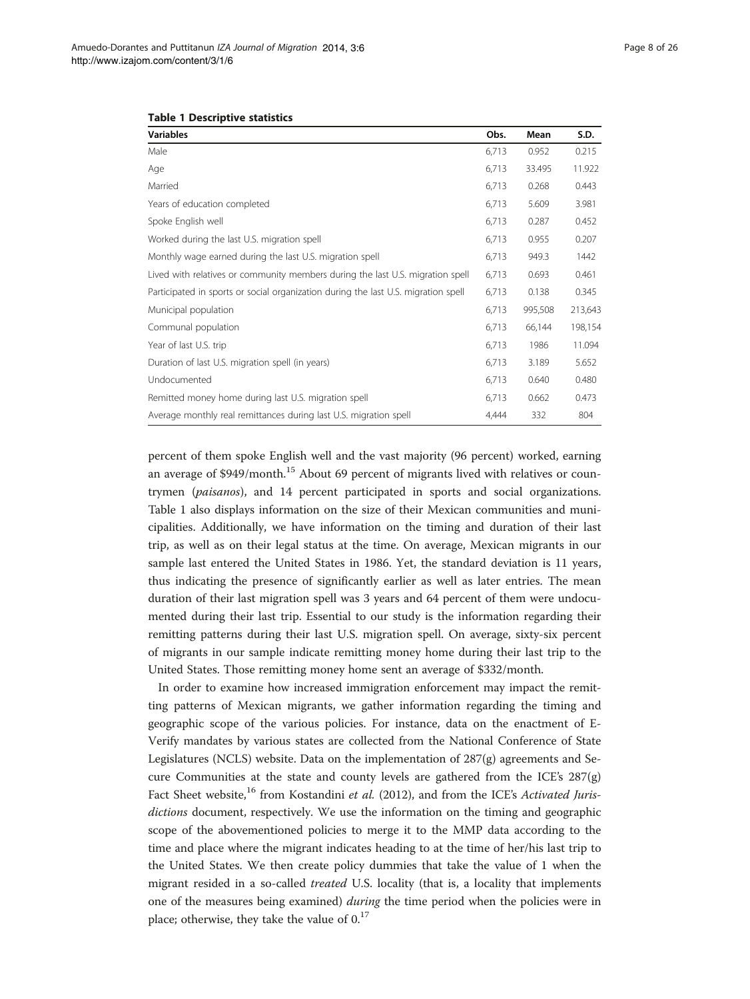| <b>Variables</b>                                                                   | Obs.  | Mean    | S.D.    |
|------------------------------------------------------------------------------------|-------|---------|---------|
| Male                                                                               | 6,713 | 0.952   | 0.215   |
| Age                                                                                | 6,713 | 33.495  | 11.922  |
| Married                                                                            | 6,713 | 0.268   | 0.443   |
| Years of education completed                                                       | 6,713 | 5.609   | 3.981   |
| Spoke English well                                                                 | 6,713 | 0.287   | 0.452   |
| Worked during the last U.S. migration spell                                        | 6,713 | 0.955   | 0.207   |
| Monthly wage earned during the last U.S. migration spell                           | 6,713 | 949.3   | 1442    |
| Lived with relatives or community members during the last U.S. migration spell     | 6,713 | 0.693   | 0.461   |
| Participated in sports or social organization during the last U.S. migration spell | 6,713 | 0.138   | 0.345   |
| Municipal population                                                               | 6,713 | 995,508 | 213,643 |
| Communal population                                                                | 6,713 | 66,144  | 198,154 |
| Year of last U.S. trip                                                             | 6,713 | 1986    | 11.094  |
| Duration of last U.S. migration spell (in years)                                   | 6,713 | 3.189   | 5.652   |
| Undocumented                                                                       | 6,713 | 0.640   | 0.480   |
| Remitted money home during last U.S. migration spell                               | 6,713 | 0.662   | 0.473   |
| Average monthly real remittances during last U.S. migration spell                  | 4,444 | 332     | 804     |

#### <span id="page-7-0"></span>Table 1 Descriptive statistics

percent of them spoke English well and the vast majority (96 percent) worked, earning an average of \$949/month.<sup>15</sup> About 69 percent of migrants lived with relatives or countrymen (paisanos), and 14 percent participated in sports and social organizations. Table 1 also displays information on the size of their Mexican communities and municipalities. Additionally, we have information on the timing and duration of their last trip, as well as on their legal status at the time. On average, Mexican migrants in our sample last entered the United States in 1986. Yet, the standard deviation is 11 years, thus indicating the presence of significantly earlier as well as later entries. The mean duration of their last migration spell was 3 years and 64 percent of them were undocumented during their last trip. Essential to our study is the information regarding their remitting patterns during their last U.S. migration spell. On average, sixty-six percent of migrants in our sample indicate remitting money home during their last trip to the United States. Those remitting money home sent an average of \$332/month.

In order to examine how increased immigration enforcement may impact the remitting patterns of Mexican migrants, we gather information regarding the timing and geographic scope of the various policies. For instance, data on the enactment of E-Verify mandates by various states are collected from the National Conference of State Legislatures (NCLS) website. Data on the implementation of 287(g) agreements and Secure Communities at the state and county levels are gathered from the ICE's 287(g) Fact Sheet website,<sup>16</sup> from Kostandini et al. [\(2012\)](#page-24-0), and from the ICE's Activated Jurisdictions document, respectively. We use the information on the timing and geographic scope of the abovementioned policies to merge it to the MMP data according to the time and place where the migrant indicates heading to at the time of her/his last trip to the United States. We then create policy dummies that take the value of 1 when the migrant resided in a so-called treated U.S. locality (that is, a locality that implements one of the measures being examined) during the time period when the policies were in place; otherwise, they take the value of  $0.^{17}$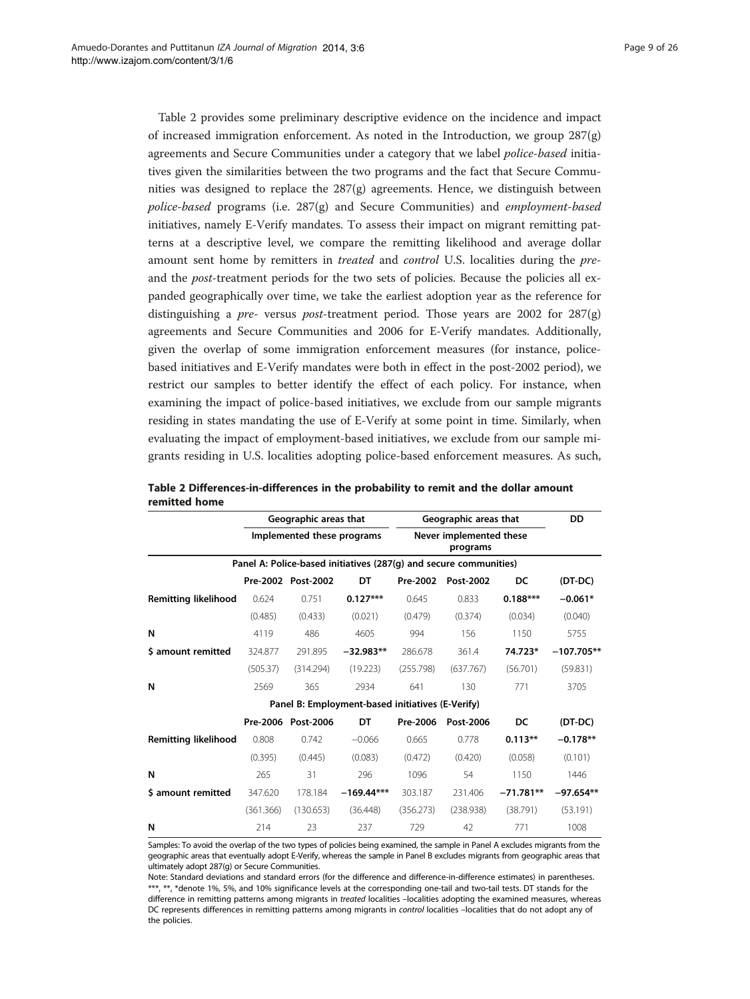Table 2 provides some preliminary descriptive evidence on the incidence and impact of increased immigration enforcement. As noted in the Introduction, we group 287(g) agreements and Secure Communities under a category that we label police-based initiatives given the similarities between the two programs and the fact that Secure Communities was designed to replace the 287(g) agreements. Hence, we distinguish between police-based programs (i.e.  $287(g)$  and Secure Communities) and *employment-based* initiatives, namely E-Verify mandates. To assess their impact on migrant remitting patterns at a descriptive level, we compare the remitting likelihood and average dollar amount sent home by remitters in *treated* and *control* U.S. localities during the *pre*and the *post*-treatment periods for the two sets of policies. Because the policies all expanded geographically over time, we take the earliest adoption year as the reference for distinguishing a pre- versus post-treatment period. Those years are 2002 for 287(g) agreements and Secure Communities and 2006 for E-Verify mandates. Additionally, given the overlap of some immigration enforcement measures (for instance, policebased initiatives and E-Verify mandates were both in effect in the post-2002 period), we restrict our samples to better identify the effect of each policy. For instance, when examining the impact of police-based initiatives, we exclude from our sample migrants residing in states mandating the use of E-Verify at some point in time. Similarly, when evaluating the impact of employment-based initiatives, we exclude from our sample migrants residing in U.S. localities adopting police-based enforcement measures. As such,

|                             | Geographic areas that<br>Implemented these programs |                    | Geographic areas that<br>Never implemented these<br>programs      |           |           | DD          |              |
|-----------------------------|-----------------------------------------------------|--------------------|-------------------------------------------------------------------|-----------|-----------|-------------|--------------|
|                             |                                                     |                    |                                                                   |           |           |             |              |
|                             |                                                     |                    | Panel A: Police-based initiatives (287(g) and secure communities) |           |           |             |              |
|                             |                                                     | Pre-2002 Post-2002 | DT                                                                | Pre-2002  | Post-2002 | DC          | (DT-DC)      |
| <b>Remitting likelihood</b> | 0.624                                               | 0.751              | $0.127***$                                                        | 0.645     | 0.833     | $0.188***$  | $-0.061*$    |
|                             | (0.485)                                             | (0.433)            | (0.021)                                                           | (0.479)   | (0.374)   | (0.034)     | (0.040)      |
| N                           | 4119                                                | 486                | 4605                                                              | 994       | 156       | 1150        | 5755         |
| \$ amount remitted          | 324.877                                             | 291.895            | $-32.983**$                                                       | 286.678   | 361.4     | 74.723*     | $-107.705**$ |
|                             | (505.37)                                            | (314.294)          | (19.223)                                                          | (255.798) | (637.767) | (56.701)    | (59.831)     |
| N                           | 2569                                                | 365                | 2934                                                              | 641       | 130       | 771         | 3705         |
|                             |                                                     |                    | Panel B: Employment-based initiatives (E-Verify)                  |           |           |             |              |
|                             |                                                     | Pre-2006 Post-2006 | DT                                                                | Pre-2006  | Post-2006 | DC          | (DT-DC)      |
| <b>Remitting likelihood</b> | 0.808                                               | 0.742              | $-0.066$                                                          | 0.665     | 0.778     | $0.113**$   | $-0.178**$   |
|                             | (0.395)                                             | (0.445)            | (0.083)                                                           | (0.472)   | (0.420)   | (0.058)     | (0.101)      |
| N                           | 265                                                 | 31                 | 296                                                               | 1096      | 54        | 1150        | 1446         |
| \$ amount remitted          | 347.620                                             | 178.184            | $-169.44***$                                                      | 303.187   | 231.406   | $-71.781**$ | $-97.654**$  |
|                             | (361.366)                                           | (130.653)          | (36.448)                                                          | (356.273) | (238.938) | (38.791)    | (53.191)     |
| N                           | 214                                                 | 23                 | 237                                                               | 729       | 42        | 771         | 1008         |

| Table 2 Differences-in-differences in the probability to remit and the dollar amount |  |  |
|--------------------------------------------------------------------------------------|--|--|
| remitted home                                                                        |  |  |

Samples: To avoid the overlap of the two types of policies being examined, the sample in Panel A excludes migrants from the geographic areas that eventually adopt E-Verify, whereas the sample in Panel B excludes migrants from geographic areas that ultimately adopt 287(g) or Secure Communities.

Note: Standard deviations and standard errors (for the difference and difference-in-difference estimates) in parentheses. \*\*\*, \*\*, \*denote 1%, 5%, and 10% significance levels at the corresponding one-tail and two-tail tests. DT stands for the difference in remitting patterns among migrants in treated localities –localities adopting the examined measures, whereas DC represents differences in remitting patterns among migrants in control localities –localities that do not adopt any of the policies.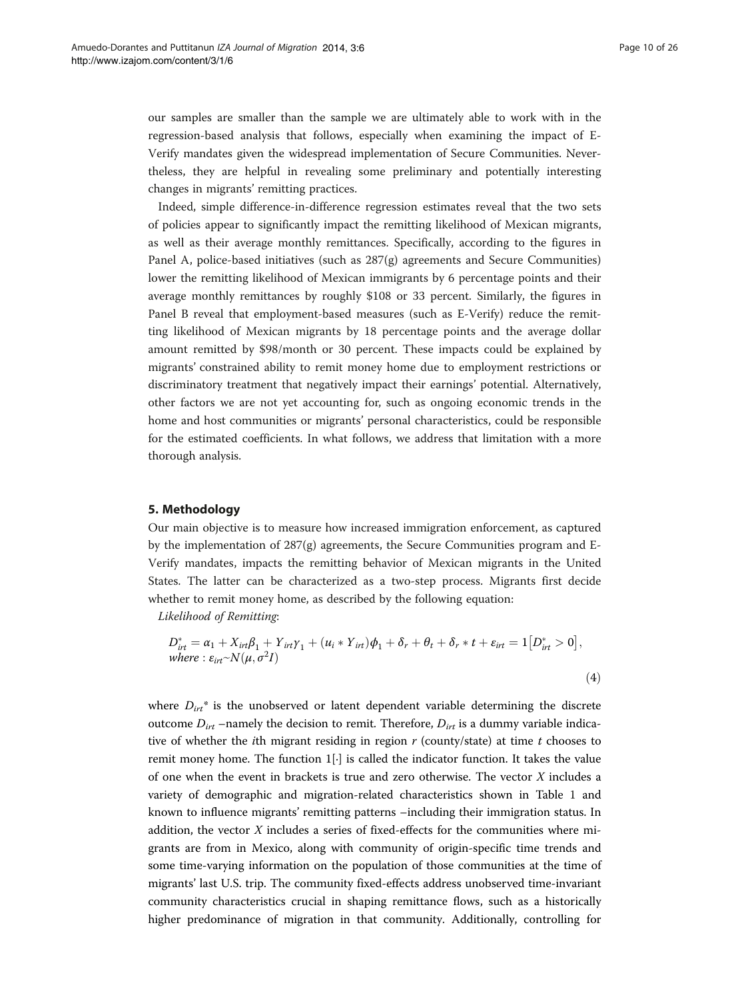$(4)$ 

<span id="page-9-0"></span>our samples are smaller than the sample we are ultimately able to work with in the regression-based analysis that follows, especially when examining the impact of E-Verify mandates given the widespread implementation of Secure Communities. Nevertheless, they are helpful in revealing some preliminary and potentially interesting changes in migrants' remitting practices.

Indeed, simple difference-in-difference regression estimates reveal that the two sets of policies appear to significantly impact the remitting likelihood of Mexican migrants, as well as their average monthly remittances. Specifically, according to the figures in Panel A, police-based initiatives (such as 287(g) agreements and Secure Communities) lower the remitting likelihood of Mexican immigrants by 6 percentage points and their average monthly remittances by roughly \$108 or 33 percent. Similarly, the figures in Panel B reveal that employment-based measures (such as E-Verify) reduce the remitting likelihood of Mexican migrants by 18 percentage points and the average dollar amount remitted by \$98/month or 30 percent. These impacts could be explained by migrants' constrained ability to remit money home due to employment restrictions or discriminatory treatment that negatively impact their earnings' potential. Alternatively, other factors we are not yet accounting for, such as ongoing economic trends in the home and host communities or migrants' personal characteristics, could be responsible for the estimated coefficients. In what follows, we address that limitation with a more thorough analysis.

#### 5. Methodology

Our main objective is to measure how increased immigration enforcement, as captured by the implementation of 287(g) agreements, the Secure Communities program and E-Verify mandates, impacts the remitting behavior of Mexican migrants in the United States. The latter can be characterized as a two-step process. Migrants first decide whether to remit money home, as described by the following equation:

Likelihood of Remitting:

$$
D_{irt}^* = \alpha_1 + X_{irt}\beta_1 + Y_{irt}\gamma_1 + (u_i * Y_{irt})\phi_1 + \delta_r + \theta_t + \delta_r * t + \varepsilon_{irt} = 1[D_{irt}^* > 0],
$$
  
where :  $\varepsilon_{irt} \sim N(\mu, \sigma^2 I)$ 

where  $D_{irt}^*$  is the unobserved or latent dependent variable determining the discrete outcome  $D_{irt}$  –namely the decision to remit. Therefore,  $D_{irt}$  is a dummy variable indicative of whether the *i*th migrant residing in region  $r$  (county/state) at time  $t$  chooses to remit money home. The function 1[∙] is called the indicator function. It takes the value of one when the event in brackets is true and zero otherwise. The vector X includes a variety of demographic and migration-related characteristics shown in Table [1](#page-7-0) and known to influence migrants' remitting patterns –including their immigration status. In addition, the vector  $X$  includes a series of fixed-effects for the communities where migrants are from in Mexico, along with community of origin-specific time trends and some time-varying information on the population of those communities at the time of migrants' last U.S. trip. The community fixed-effects address unobserved time-invariant community characteristics crucial in shaping remittance flows, such as a historically higher predominance of migration in that community. Additionally, controlling for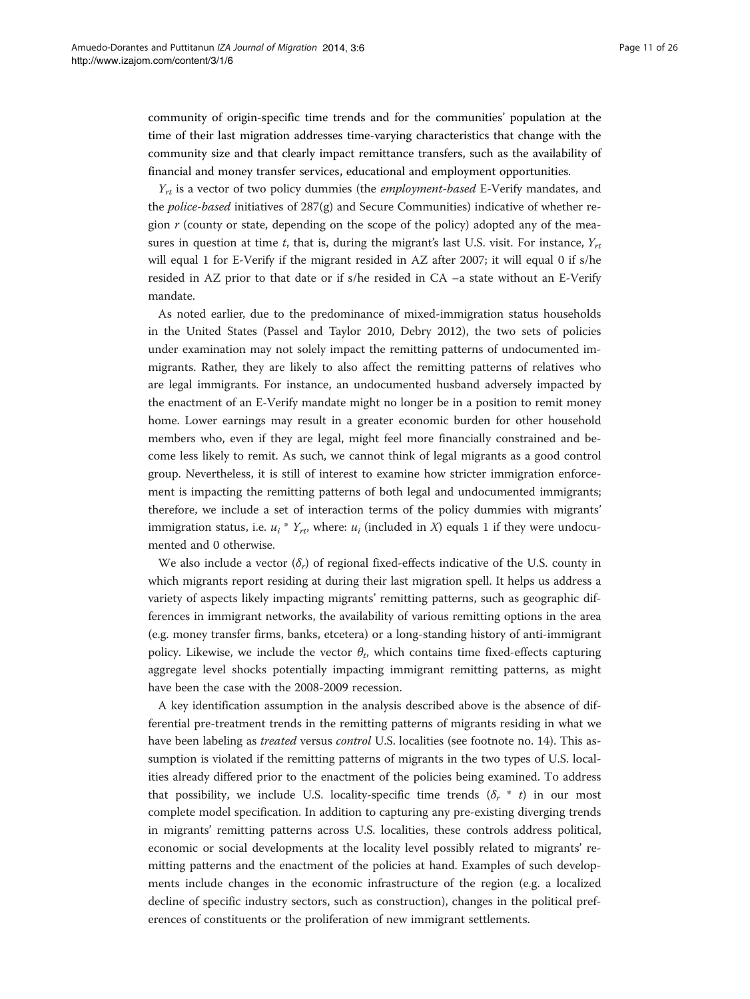community of origin-specific time trends and for the communities' population at the time of their last migration addresses time-varying characteristics that change with the community size and that clearly impact remittance transfers, such as the availability of financial and money transfer services, educational and employment opportunities.

 $Y_{rt}$  is a vector of two policy dummies (the *employment-based* E-Verify mandates, and the *police-based* initiatives of  $287(g)$  and Secure Communities) indicative of whether region  $r$  (county or state, depending on the scope of the policy) adopted any of the measures in question at time t, that is, during the migrant's last U.S. visit. For instance,  $Y_{rt}$ will equal 1 for E-Verify if the migrant resided in AZ after 2007; it will equal 0 if s/he resided in AZ prior to that date or if s/he resided in CA –a state without an E-Verify mandate.

As noted earlier, due to the predominance of mixed-immigration status households in the United States (Passel and Taylor [2010](#page-25-0), Debry [2012](#page-24-0)), the two sets of policies under examination may not solely impact the remitting patterns of undocumented immigrants. Rather, they are likely to also affect the remitting patterns of relatives who are legal immigrants. For instance, an undocumented husband adversely impacted by the enactment of an E-Verify mandate might no longer be in a position to remit money home. Lower earnings may result in a greater economic burden for other household members who, even if they are legal, might feel more financially constrained and become less likely to remit. As such, we cannot think of legal migrants as a good control group. Nevertheless, it is still of interest to examine how stricter immigration enforcement is impacting the remitting patterns of both legal and undocumented immigrants; therefore, we include a set of interaction terms of the policy dummies with migrants' immigration status, i.e.  $u_i * Y_{rt}$ , where:  $u_i$  (included in X) equals 1 if they were undocumented and 0 otherwise.

We also include a vector  $(\delta_r)$  of regional fixed-effects indicative of the U.S. county in which migrants report residing at during their last migration spell. It helps us address a variety of aspects likely impacting migrants' remitting patterns, such as geographic differences in immigrant networks, the availability of various remitting options in the area (e.g. money transfer firms, banks, etcetera) or a long-standing history of anti-immigrant policy. Likewise, we include the vector  $\theta_t$ , which contains time fixed-effects capturing aggregate level shocks potentially impacting immigrant remitting patterns, as might have been the case with the 2008-2009 recession.

A key identification assumption in the analysis described above is the absence of differential pre-treatment trends in the remitting patterns of migrants residing in what we have been labeling as *treated* versus *control* U.S. localities (see footnote no. 14). This assumption is violated if the remitting patterns of migrants in the two types of U.S. localities already differed prior to the enactment of the policies being examined. To address that possibility, we include U.S. locality-specific time trends  $(\delta_r * t)$  in our most complete model specification. In addition to capturing any pre-existing diverging trends in migrants' remitting patterns across U.S. localities, these controls address political, economic or social developments at the locality level possibly related to migrants' remitting patterns and the enactment of the policies at hand. Examples of such developments include changes in the economic infrastructure of the region (e.g. a localized decline of specific industry sectors, such as construction), changes in the political preferences of constituents or the proliferation of new immigrant settlements.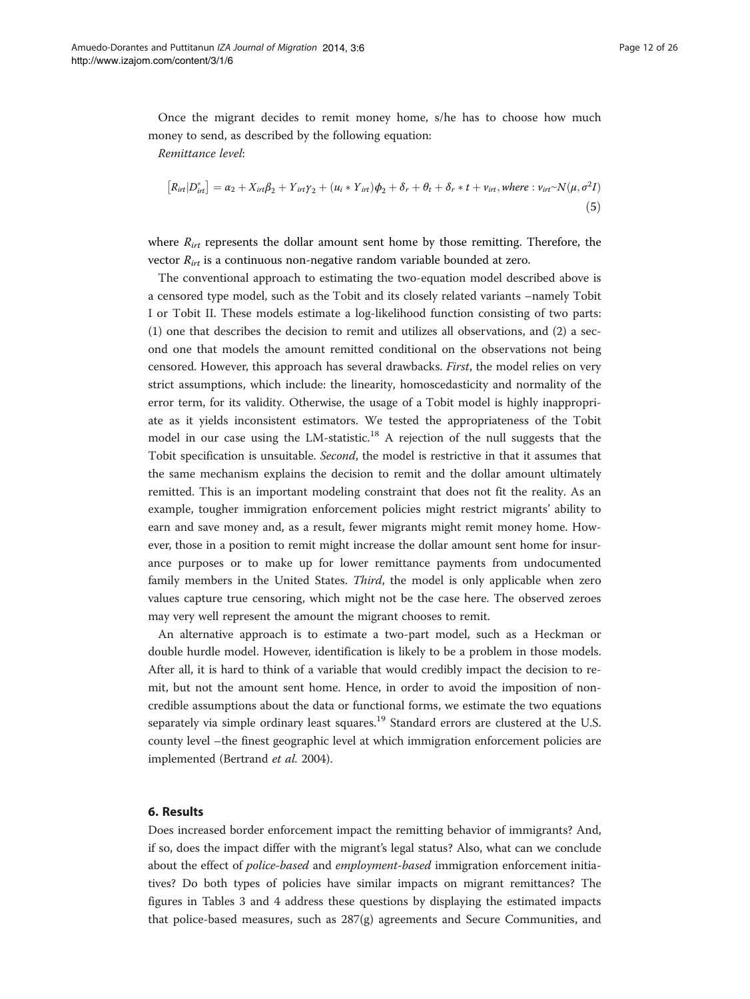Once the migrant decides to remit money home, s/he has to choose how much money to send, as described by the following equation:

Remittance level:

$$
[R_{irt}|D_{irt}^*] = \alpha_2 + X_{irt}\beta_2 + Y_{irt}\gamma_2 + (u_i * Y_{irt})\phi_2 + \delta_r + \theta_t + \delta_r * t + v_{irt}, where : v_{irt} \sim N(\mu, \sigma^2 I)
$$
\n
$$
\tag{5}
$$

where  $R_{irt}$  represents the dollar amount sent home by those remitting. Therefore, the vector  $R_{int}$  is a continuous non-negative random variable bounded at zero.

The conventional approach to estimating the two-equation model described above is a censored type model, such as the Tobit and its closely related variants –namely Tobit I or Tobit II. These models estimate a log-likelihood function consisting of two parts: (1) one that describes the decision to remit and utilizes all observations, and (2) a second one that models the amount remitted conditional on the observations not being censored. However, this approach has several drawbacks. First, the model relies on very strict assumptions, which include: the linearity, homoscedasticity and normality of the error term, for its validity. Otherwise, the usage of a Tobit model is highly inappropriate as it yields inconsistent estimators. We tested the appropriateness of the Tobit model in our case using the LM-statistic.<sup>18</sup> A rejection of the null suggests that the Tobit specification is unsuitable. Second, the model is restrictive in that it assumes that the same mechanism explains the decision to remit and the dollar amount ultimately remitted. This is an important modeling constraint that does not fit the reality. As an example, tougher immigration enforcement policies might restrict migrants' ability to earn and save money and, as a result, fewer migrants might remit money home. However, those in a position to remit might increase the dollar amount sent home for insurance purposes or to make up for lower remittance payments from undocumented family members in the United States. Third, the model is only applicable when zero values capture true censoring, which might not be the case here. The observed zeroes may very well represent the amount the migrant chooses to remit.

An alternative approach is to estimate a two-part model, such as a Heckman or double hurdle model. However, identification is likely to be a problem in those models. After all, it is hard to think of a variable that would credibly impact the decision to remit, but not the amount sent home. Hence, in order to avoid the imposition of noncredible assumptions about the data or functional forms, we estimate the two equations separately via simple ordinary least squares.<sup>19</sup> Standard errors are clustered at the U.S. county level –the finest geographic level at which immigration enforcement policies are implemented (Bertrand et al. [2004](#page-24-0)).

#### 6. Results

Does increased border enforcement impact the remitting behavior of immigrants? And, if so, does the impact differ with the migrant's legal status? Also, what can we conclude about the effect of *police-based* and *employment-based* immigration enforcement initiatives? Do both types of policies have similar impacts on migrant remittances? The figures in Tables [3](#page-12-0) and [4](#page-13-0) address these questions by displaying the estimated impacts that police-based measures, such as 287(g) agreements and Secure Communities, and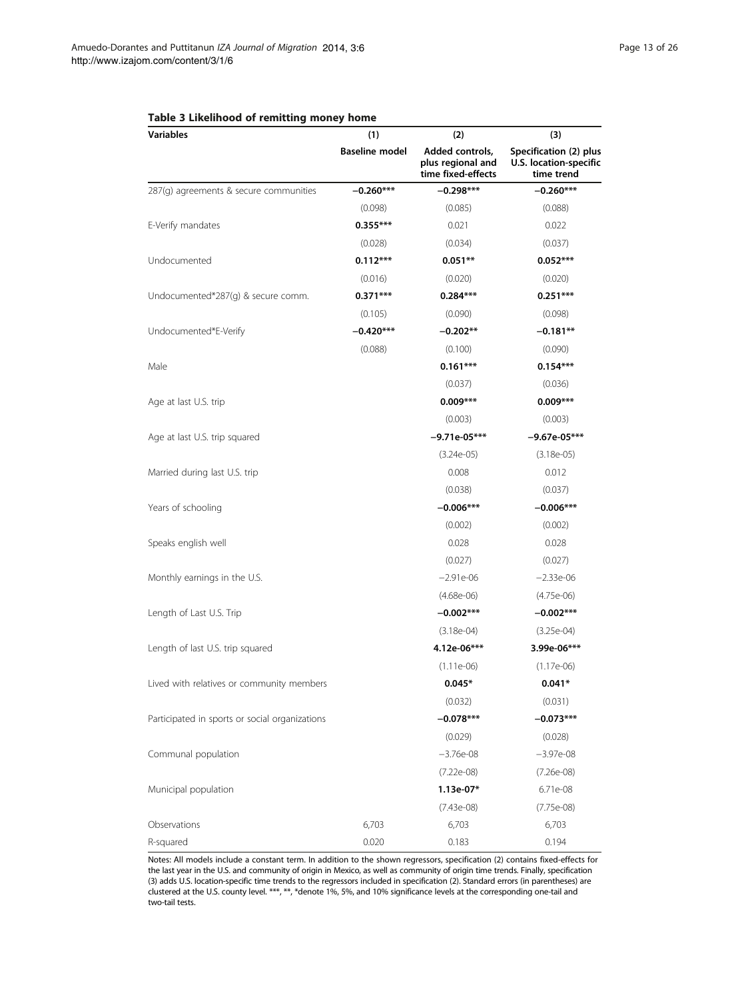| <b>Variables</b>                               | (1)                   | (2)                                                        | (3)                                                            |
|------------------------------------------------|-----------------------|------------------------------------------------------------|----------------------------------------------------------------|
|                                                | <b>Baseline model</b> | Added controls,<br>plus regional and<br>time fixed-effects | Specification (2) plus<br>U.S. location-specific<br>time trend |
| 287(g) agreements & secure communities         | $-0.260***$           | $-0.298***$                                                | $-0.260***$                                                    |
|                                                | (0.098)               | (0.085)                                                    | (0.088)                                                        |
| E-Verify mandates                              | $0.355***$            | 0.021                                                      | 0.022                                                          |
|                                                | (0.028)               | (0.034)                                                    | (0.037)                                                        |
| Undocumented                                   | $0.112***$            | $0.051**$                                                  | $0.052***$                                                     |
|                                                | (0.016)               | (0.020)                                                    | (0.020)                                                        |
| Undocumented*287(g) & secure comm.             | $0.371***$            | $0.284***$                                                 | $0.251***$                                                     |
|                                                | (0.105)               | (0.090)                                                    | (0.098)                                                        |
| Undocumented*E-Verify                          | $-0.420***$           | $-0.202**$                                                 | $-0.181**$                                                     |
|                                                | (0.088)               | (0.100)                                                    | (0.090)                                                        |
| Male                                           |                       | $0.161***$                                                 | $0.154***$                                                     |
|                                                |                       | (0.037)                                                    | (0.036)                                                        |
| Age at last U.S. trip                          |                       | $0.009***$                                                 | $0.009***$                                                     |
|                                                |                       | (0.003)                                                    | (0.003)                                                        |
| Age at last U.S. trip squared                  |                       | $-9.71e-05***$                                             | $-9.67e-05***$                                                 |
|                                                |                       | $(3.24e-05)$                                               | $(3.18e-05)$                                                   |
| Married during last U.S. trip                  |                       | 0.008                                                      | 0.012                                                          |
|                                                |                       | (0.038)                                                    | (0.037)                                                        |
| Years of schooling                             |                       | $-0.006***$                                                | $-0.006***$                                                    |
|                                                |                       | (0.002)                                                    | (0.002)                                                        |
| Speaks english well                            |                       | 0.028                                                      | 0.028                                                          |
|                                                |                       | (0.027)                                                    | (0.027)                                                        |
| Monthly earnings in the U.S.                   |                       | $-2.91e-06$                                                | $-2.33e-06$                                                    |
|                                                |                       | $(4.68e-06)$                                               | $(4.75e-06)$                                                   |
| Length of Last U.S. Trip                       |                       | $-0.002***$                                                | $-0.002***$                                                    |
|                                                |                       | $(3.18e-04)$                                               | $(3.25e-04)$                                                   |
| Length of last U.S. trip squared               |                       | 4.12e-06***                                                | 3.99e-06***                                                    |
|                                                |                       | $(1.11e-06)$                                               | $(1.17e-06)$                                                   |
| Lived with relatives or community members      |                       | $0.045*$                                                   | $0.041*$                                                       |
|                                                |                       | (0.032)                                                    | (0.031)                                                        |
| Participated in sports or social organizations |                       | $-0.078***$                                                | $-0.073***$                                                    |
|                                                |                       | (0.029)                                                    | (0.028)                                                        |
| Communal population                            |                       | $-3.76e-08$                                                | $-3.97e-08$                                                    |
|                                                |                       | $(7.22e-08)$                                               | $(7.26e-08)$                                                   |
| Municipal population                           |                       | $1.13e-07*$                                                | 6.71e-08                                                       |
|                                                |                       | $(7.43e-08)$                                               | $(7.75e-08)$                                                   |
| Observations                                   | 6,703                 | 6,703                                                      | 6,703                                                          |
| R-squared                                      | 0.020                 | 0.183                                                      | 0.194                                                          |

### <span id="page-12-0"></span>Table 3 Likelihood of remitting money home

Notes: All models include a constant term. In addition to the shown regressors, specification (2) contains fixed-effects for the last year in the U.S. and community of origin in Mexico, as well as community of origin time trends. Finally, specification (3) adds U.S. location-specific time trends to the regressors included in specification (2). Standard errors (in parentheses) are clustered at the U.S. county level. \*\*\*, \*\*, \*denote 1%, 5%, and 10% significance levels at the corresponding one-tail and two-tail tests.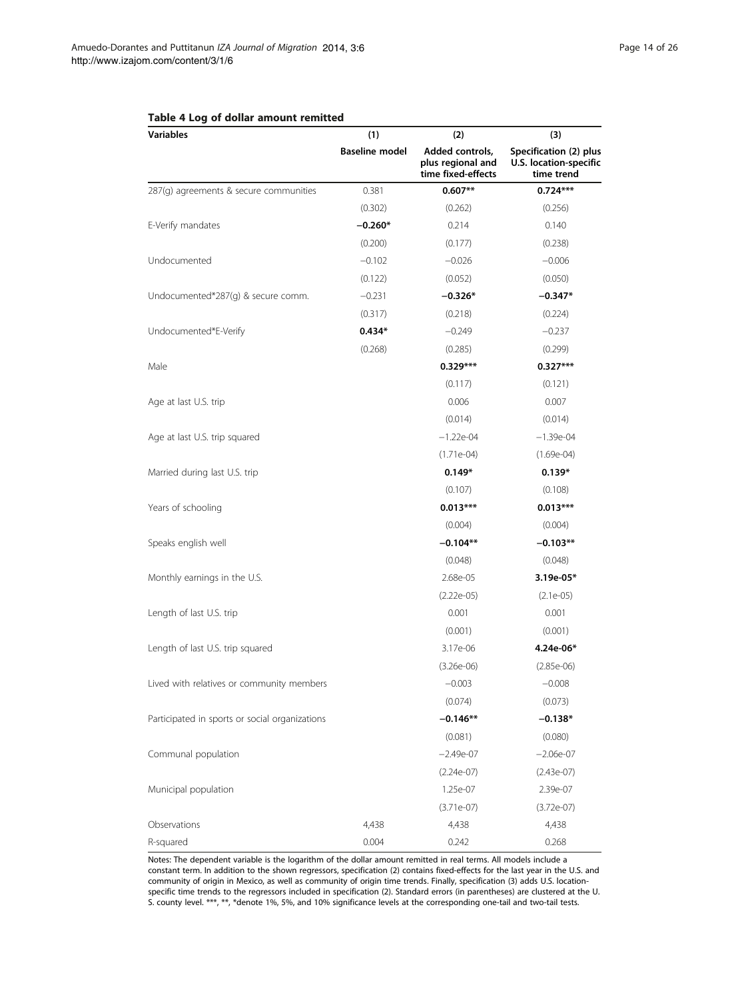| <b>Variables</b>                               | (1)                   | (2)                                                        | (3)                                                            |
|------------------------------------------------|-----------------------|------------------------------------------------------------|----------------------------------------------------------------|
|                                                | <b>Baseline model</b> | Added controls,<br>plus regional and<br>time fixed-effects | Specification (2) plus<br>U.S. location-specific<br>time trend |
| 287(g) agreements & secure communities         | 0.381                 | $0.607**$                                                  | $0.724***$                                                     |
|                                                | (0.302)               | (0.262)                                                    | (0.256)                                                        |
| E-Verify mandates                              | $-0.260*$             | 0.214                                                      | 0.140                                                          |
|                                                | (0.200)               | (0.177)                                                    | (0.238)                                                        |
| Undocumented                                   | $-0.102$              | $-0.026$                                                   | $-0.006$                                                       |
|                                                | (0.122)               | (0.052)                                                    | (0.050)                                                        |
| Undocumented*287(g) & secure comm.             | $-0.231$              | $-0.326*$                                                  | $-0.347*$                                                      |
|                                                | (0.317)               | (0.218)                                                    | (0.224)                                                        |
| Undocumented*E-Verify                          | $0.434*$              | $-0.249$                                                   | $-0.237$                                                       |
|                                                | (0.268)               | (0.285)                                                    | (0.299)                                                        |
| Male                                           |                       | $0.329***$                                                 | $0.327***$                                                     |
|                                                |                       | (0.117)                                                    | (0.121)                                                        |
| Age at last U.S. trip                          |                       | 0.006                                                      | 0.007                                                          |
|                                                |                       | (0.014)                                                    | (0.014)                                                        |
| Age at last U.S. trip squared                  |                       | $-1.22e-04$                                                | $-1.39e-04$                                                    |
|                                                |                       | $(1.71e-04)$                                               | $(1.69e-04)$                                                   |
| Married during last U.S. trip                  |                       | $0.149*$                                                   | $0.139*$                                                       |
|                                                |                       | (0.107)                                                    | (0.108)                                                        |
| Years of schooling                             |                       | $0.013***$                                                 | $0.013***$                                                     |
|                                                |                       | (0.004)                                                    | (0.004)                                                        |
| Speaks english well                            |                       | $-0.104**$                                                 | $-0.103**$                                                     |
|                                                |                       | (0.048)                                                    | (0.048)                                                        |
| Monthly earnings in the U.S.                   |                       | 2.68e-05                                                   | 3.19e-05*                                                      |
|                                                |                       | $(2.22e-05)$                                               | $(2.1e-05)$                                                    |
| Length of last U.S. trip                       |                       | 0.001                                                      | 0.001                                                          |
|                                                |                       | (0.001)                                                    | (0.001)                                                        |
| Length of last U.S. trip squared               |                       | 3.17e-06                                                   | 4.24e-06*                                                      |
|                                                |                       | $(3.26e-06)$                                               | $(2.85e-06)$                                                   |
| Lived with relatives or community members      |                       | $-0.003$                                                   | $-0.008$                                                       |
|                                                |                       | (0.074)                                                    | (0.073)                                                        |
| Participated in sports or social organizations |                       | $-0.146**$                                                 | $-0.138*$                                                      |
|                                                |                       | (0.081)                                                    | (0.080)                                                        |
| Communal population                            |                       | $-2.49e-07$                                                | $-2.06e-07$                                                    |
|                                                |                       | $(2.24e-07)$                                               | $(2.43e-07)$                                                   |
| Municipal population                           |                       | 1.25e-07                                                   | 2.39e-07                                                       |
|                                                |                       | $(3.71e-07)$                                               | $(3.72e-07)$                                                   |
| Observations                                   | 4,438                 | 4,438                                                      | 4,438                                                          |
| R-squared                                      | 0.004                 | 0.242                                                      | 0.268                                                          |

# <span id="page-13-0"></span>Table 4 Log of dollar amount remitted

Notes: The dependent variable is the logarithm of the dollar amount remitted in real terms. All models include a constant term. In addition to the shown regressors, specification (2) contains fixed-effects for the last year in the U.S. and community of origin in Mexico, as well as community of origin time trends. Finally, specification (3) adds U.S. locationspecific time trends to the regressors included in specification (2). Standard errors (in parentheses) are clustered at the U. S. county level. \*\*\*, \*\*, \*denote 1%, 5%, and 10% significance levels at the corresponding one-tail and two-tail tests.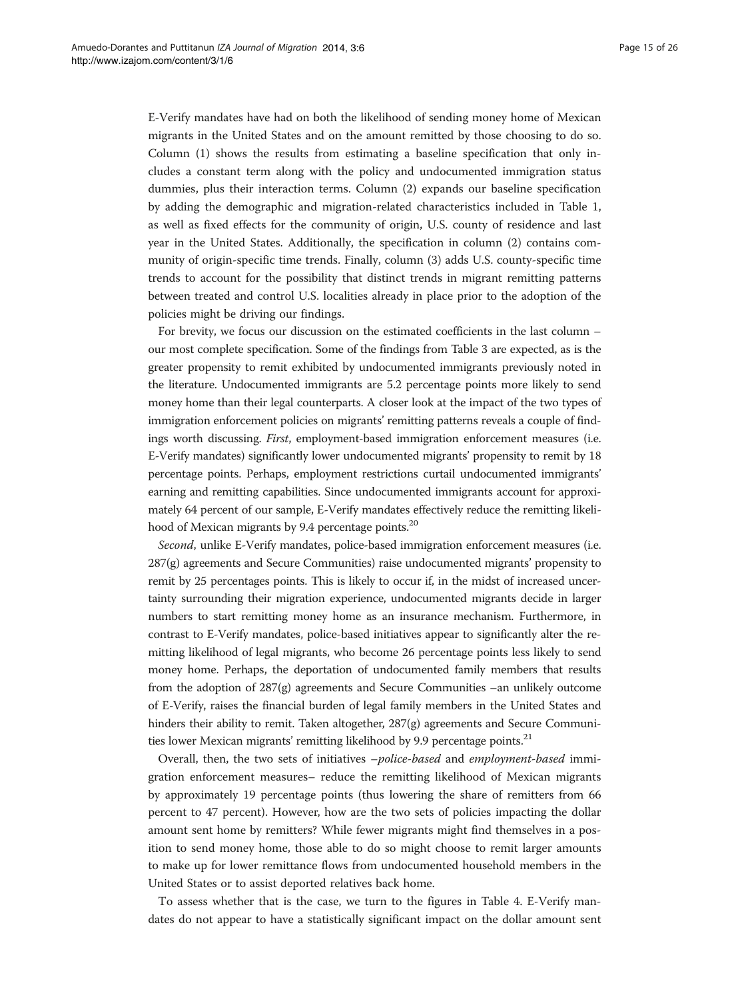E-Verify mandates have had on both the likelihood of sending money home of Mexican migrants in the United States and on the amount remitted by those choosing to do so. Column (1) shows the results from estimating a baseline specification that only includes a constant term along with the policy and undocumented immigration status dummies, plus their interaction terms. Column (2) expands our baseline specification by adding the demographic and migration-related characteristics included in Table [1](#page-7-0), as well as fixed effects for the community of origin, U.S. county of residence and last year in the United States. Additionally, the specification in column (2) contains community of origin-specific time trends. Finally, column (3) adds U.S. county-specific time trends to account for the possibility that distinct trends in migrant remitting patterns between treated and control U.S. localities already in place prior to the adoption of the policies might be driving our findings.

For brevity, we focus our discussion on the estimated coefficients in the last column – our most complete specification. Some of the findings from Table [3](#page-12-0) are expected, as is the greater propensity to remit exhibited by undocumented immigrants previously noted in the literature. Undocumented immigrants are 5.2 percentage points more likely to send money home than their legal counterparts. A closer look at the impact of the two types of immigration enforcement policies on migrants' remitting patterns reveals a couple of findings worth discussing. First, employment-based immigration enforcement measures (i.e. E-Verify mandates) significantly lower undocumented migrants' propensity to remit by 18 percentage points. Perhaps, employment restrictions curtail undocumented immigrants' earning and remitting capabilities. Since undocumented immigrants account for approximately 64 percent of our sample, E-Verify mandates effectively reduce the remitting likelihood of Mexican migrants by 9.4 percentage points.<sup>20</sup>

Second, unlike E-Verify mandates, police-based immigration enforcement measures (i.e. 287(g) agreements and Secure Communities) raise undocumented migrants' propensity to remit by 25 percentages points. This is likely to occur if, in the midst of increased uncertainty surrounding their migration experience, undocumented migrants decide in larger numbers to start remitting money home as an insurance mechanism. Furthermore, in contrast to E-Verify mandates, police-based initiatives appear to significantly alter the remitting likelihood of legal migrants, who become 26 percentage points less likely to send money home. Perhaps, the deportation of undocumented family members that results from the adoption of 287(g) agreements and Secure Communities –an unlikely outcome of E-Verify, raises the financial burden of legal family members in the United States and hinders their ability to remit. Taken altogether, 287(g) agreements and Secure Communities lower Mexican migrants' remitting likelihood by 9.9 percentage points.<sup>21</sup>

Overall, then, the two sets of initiatives –police-based and employment-based immigration enforcement measures– reduce the remitting likelihood of Mexican migrants by approximately 19 percentage points (thus lowering the share of remitters from 66 percent to 47 percent). However, how are the two sets of policies impacting the dollar amount sent home by remitters? While fewer migrants might find themselves in a position to send money home, those able to do so might choose to remit larger amounts to make up for lower remittance flows from undocumented household members in the United States or to assist deported relatives back home.

To assess whether that is the case, we turn to the figures in Table [4.](#page-13-0) E-Verify mandates do not appear to have a statistically significant impact on the dollar amount sent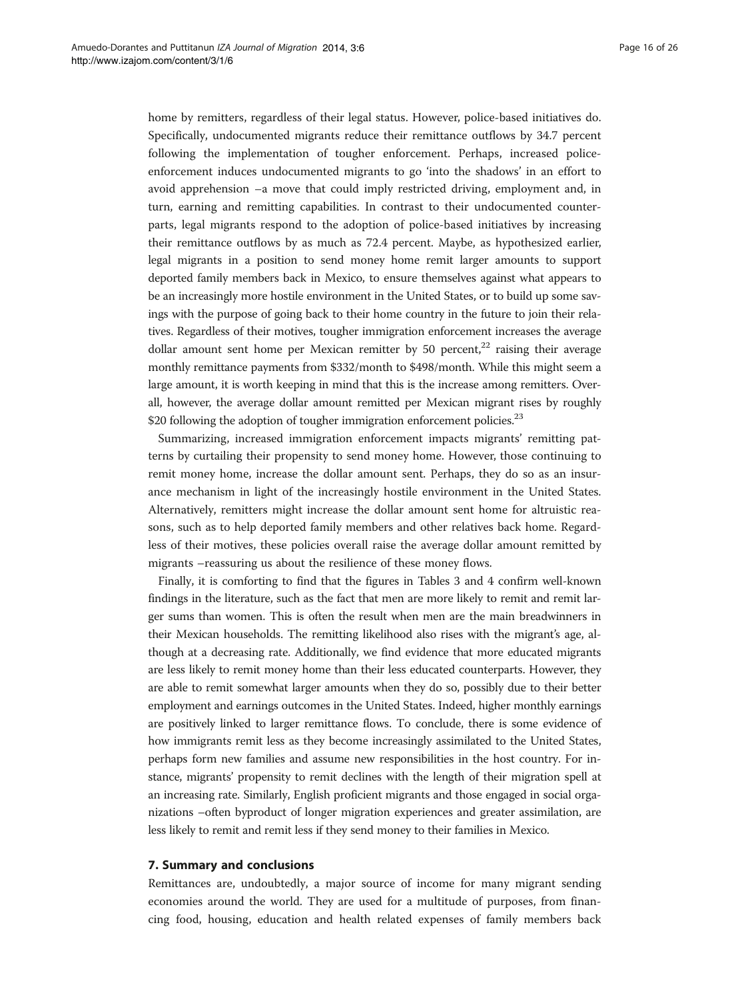home by remitters, regardless of their legal status. However, police-based initiatives do. Specifically, undocumented migrants reduce their remittance outflows by 34.7 percent following the implementation of tougher enforcement. Perhaps, increased policeenforcement induces undocumented migrants to go 'into the shadows' in an effort to avoid apprehension –a move that could imply restricted driving, employment and, in turn, earning and remitting capabilities. In contrast to their undocumented counterparts, legal migrants respond to the adoption of police-based initiatives by increasing their remittance outflows by as much as 72.4 percent. Maybe, as hypothesized earlier, legal migrants in a position to send money home remit larger amounts to support deported family members back in Mexico, to ensure themselves against what appears to be an increasingly more hostile environment in the United States, or to build up some savings with the purpose of going back to their home country in the future to join their relatives. Regardless of their motives, tougher immigration enforcement increases the average dollar amount sent home per Mexican remitter by 50 percent, $^{22}$  raising their average monthly remittance payments from \$332/month to \$498/month. While this might seem a large amount, it is worth keeping in mind that this is the increase among remitters. Overall, however, the average dollar amount remitted per Mexican migrant rises by roughly \$20 following the adoption of tougher immigration enforcement policies.<sup>23</sup>

Summarizing, increased immigration enforcement impacts migrants' remitting patterns by curtailing their propensity to send money home. However, those continuing to remit money home, increase the dollar amount sent. Perhaps, they do so as an insurance mechanism in light of the increasingly hostile environment in the United States. Alternatively, remitters might increase the dollar amount sent home for altruistic reasons, such as to help deported family members and other relatives back home. Regardless of their motives, these policies overall raise the average dollar amount remitted by migrants –reassuring us about the resilience of these money flows.

Finally, it is comforting to find that the figures in Tables [3](#page-12-0) and [4](#page-13-0) confirm well-known findings in the literature, such as the fact that men are more likely to remit and remit larger sums than women. This is often the result when men are the main breadwinners in their Mexican households. The remitting likelihood also rises with the migrant's age, although at a decreasing rate. Additionally, we find evidence that more educated migrants are less likely to remit money home than their less educated counterparts. However, they are able to remit somewhat larger amounts when they do so, possibly due to their better employment and earnings outcomes in the United States. Indeed, higher monthly earnings are positively linked to larger remittance flows. To conclude, there is some evidence of how immigrants remit less as they become increasingly assimilated to the United States, perhaps form new families and assume new responsibilities in the host country. For instance, migrants' propensity to remit declines with the length of their migration spell at an increasing rate. Similarly, English proficient migrants and those engaged in social organizations –often byproduct of longer migration experiences and greater assimilation, are less likely to remit and remit less if they send money to their families in Mexico.

#### 7. Summary and conclusions

Remittances are, undoubtedly, a major source of income for many migrant sending economies around the world. They are used for a multitude of purposes, from financing food, housing, education and health related expenses of family members back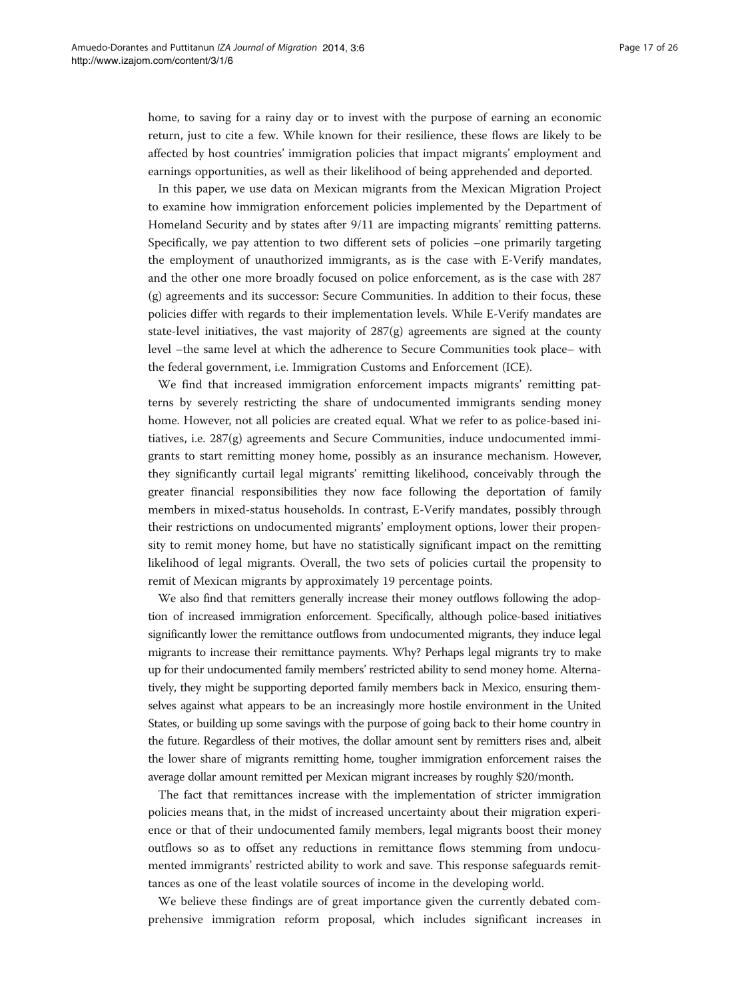home, to saving for a rainy day or to invest with the purpose of earning an economic return, just to cite a few. While known for their resilience, these flows are likely to be affected by host countries' immigration policies that impact migrants' employment and earnings opportunities, as well as their likelihood of being apprehended and deported.

In this paper, we use data on Mexican migrants from the Mexican Migration Project to examine how immigration enforcement policies implemented by the Department of Homeland Security and by states after 9/11 are impacting migrants' remitting patterns. Specifically, we pay attention to two different sets of policies –one primarily targeting the employment of unauthorized immigrants, as is the case with E-Verify mandates, and the other one more broadly focused on police enforcement, as is the case with 287 (g) agreements and its successor: Secure Communities. In addition to their focus, these policies differ with regards to their implementation levels. While E-Verify mandates are state-level initiatives, the vast majority of 287(g) agreements are signed at the county level –the same level at which the adherence to Secure Communities took place– with the federal government, i.e. Immigration Customs and Enforcement (ICE).

We find that increased immigration enforcement impacts migrants' remitting patterns by severely restricting the share of undocumented immigrants sending money home. However, not all policies are created equal. What we refer to as police-based initiatives, i.e. 287(g) agreements and Secure Communities, induce undocumented immigrants to start remitting money home, possibly as an insurance mechanism. However, they significantly curtail legal migrants' remitting likelihood, conceivably through the greater financial responsibilities they now face following the deportation of family members in mixed-status households. In contrast, E-Verify mandates, possibly through their restrictions on undocumented migrants' employment options, lower their propensity to remit money home, but have no statistically significant impact on the remitting likelihood of legal migrants. Overall, the two sets of policies curtail the propensity to remit of Mexican migrants by approximately 19 percentage points.

We also find that remitters generally increase their money outflows following the adoption of increased immigration enforcement. Specifically, although police-based initiatives significantly lower the remittance outflows from undocumented migrants, they induce legal migrants to increase their remittance payments. Why? Perhaps legal migrants try to make up for their undocumented family members' restricted ability to send money home. Alternatively, they might be supporting deported family members back in Mexico, ensuring themselves against what appears to be an increasingly more hostile environment in the United States, or building up some savings with the purpose of going back to their home country in the future. Regardless of their motives, the dollar amount sent by remitters rises and, albeit the lower share of migrants remitting home, tougher immigration enforcement raises the average dollar amount remitted per Mexican migrant increases by roughly \$20/month.

The fact that remittances increase with the implementation of stricter immigration policies means that, in the midst of increased uncertainty about their migration experience or that of their undocumented family members, legal migrants boost their money outflows so as to offset any reductions in remittance flows stemming from undocumented immigrants' restricted ability to work and save. This response safeguards remittances as one of the least volatile sources of income in the developing world.

We believe these findings are of great importance given the currently debated comprehensive immigration reform proposal, which includes significant increases in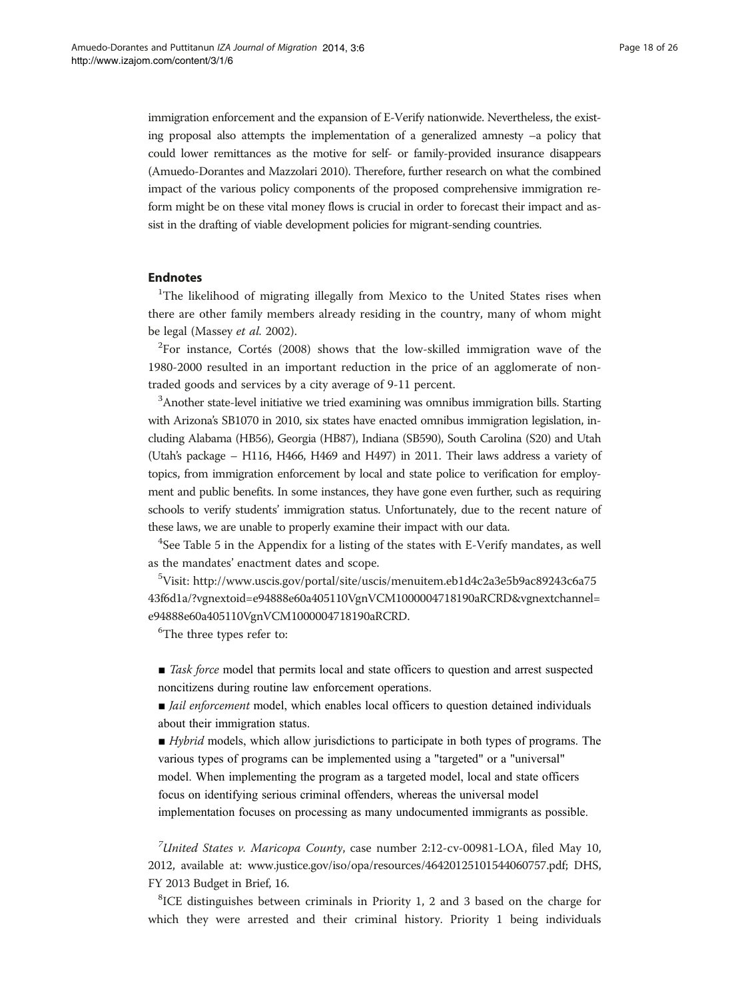immigration enforcement and the expansion of E-Verify nationwide. Nevertheless, the existing proposal also attempts the implementation of a generalized amnesty –a policy that could lower remittances as the motive for self- or family-provided insurance disappears (Amuedo-Dorantes and Mazzolari [2010\)](#page-24-0). Therefore, further research on what the combined impact of the various policy components of the proposed comprehensive immigration reform might be on these vital money flows is crucial in order to forecast their impact and assist in the drafting of viable development policies for migrant-sending countries.

# Endnotes

<sup>1</sup>The likelihood of migrating illegally from Mexico to the United States rises when there are other family members already residing in the country, many of whom might be legal (Massey et al. [2002\)](#page-24-0).

 $2$ For instance, Cortés [\(2008\)](#page-24-0) shows that the low-skilled immigration wave of the 1980-2000 resulted in an important reduction in the price of an agglomerate of nontraded goods and services by a city average of 9-11 percent.

 $3$ Another state-level initiative we tried examining was omnibus immigration bills. Starting with Arizona's SB1070 in 2010, six states have enacted omnibus immigration legislation, including Alabama (HB56), Georgia (HB87), Indiana (SB590), South Carolina (S20) and Utah (Utah's package – H116, H466, H469 and H497) in 2011. Their laws address a variety of topics, from immigration enforcement by local and state police to verification for employment and public benefits. In some instances, they have gone even further, such as requiring schools to verify students' immigration status. Unfortunately, due to the recent nature of these laws, we are unable to properly examine their impact with our data.

<sup>4</sup>See Table 5 in the [Appendix](#page-19-0) for a listing of the states with E-Verify mandates, as well as the mandates' enactment dates and scope.

5 Visit: [http://www.uscis.gov/portal/site/uscis/menuitem.eb1d4c2a3e5b9ac89243c6a75](http://www.uscis.gov/portal/site/uscis/menuitem.eb1d4c2a3e5b9ac89243c6a7543f6d1a/?vgnextoid=e94888e60a405110VgnVCM1000004718190aRCRD&vgnextchannel=e94888e60a405110VgnVCM1000004718190aRCRD) [43f6d1a/?vgnextoid=e94888e60a405110VgnVCM1000004718190aRCRD&vgnextchannel=](http://www.uscis.gov/portal/site/uscis/menuitem.eb1d4c2a3e5b9ac89243c6a7543f6d1a/?vgnextoid=e94888e60a405110VgnVCM1000004718190aRCRD&vgnextchannel=e94888e60a405110VgnVCM1000004718190aRCRD) [e94888e60a405110VgnVCM1000004718190aRCRD](http://www.uscis.gov/portal/site/uscis/menuitem.eb1d4c2a3e5b9ac89243c6a7543f6d1a/?vgnextoid=e94888e60a405110VgnVCM1000004718190aRCRD&vgnextchannel=e94888e60a405110VgnVCM1000004718190aRCRD).

<sup>6</sup>The three types refer to:

- Task force model that permits local and state officers to question and arrest suspected noncitizens during routine law enforcement operations.
- *Jail enforcement* model, which enables local officers to question detained individuals about their immigration status.
- *Hybrid* models, which allow jurisdictions to participate in both types of programs. The various types of programs can be implemented using a "targeted" or a "universal" model. When implementing the program as a targeted model, local and state officers focus on identifying serious criminal offenders, whereas the universal model implementation focuses on processing as many undocumented immigrants as possible.

<sup>7</sup>United States v. Maricopa County, case number 2:12-cv-00981-LOA, filed May 10, 2012, available at: [www.justice.gov/iso/opa/resources/46420125101544060757.pdf](http://www.justice.gov/iso/opa/resources/46420125101544060757.pdf); DHS, FY 2013 Budget in Brief, 16.

<sup>8</sup>ICE distinguishes between criminals in Priority 1, 2 and 3 based on the charge for which they were arrested and their criminal history. Priority 1 being individuals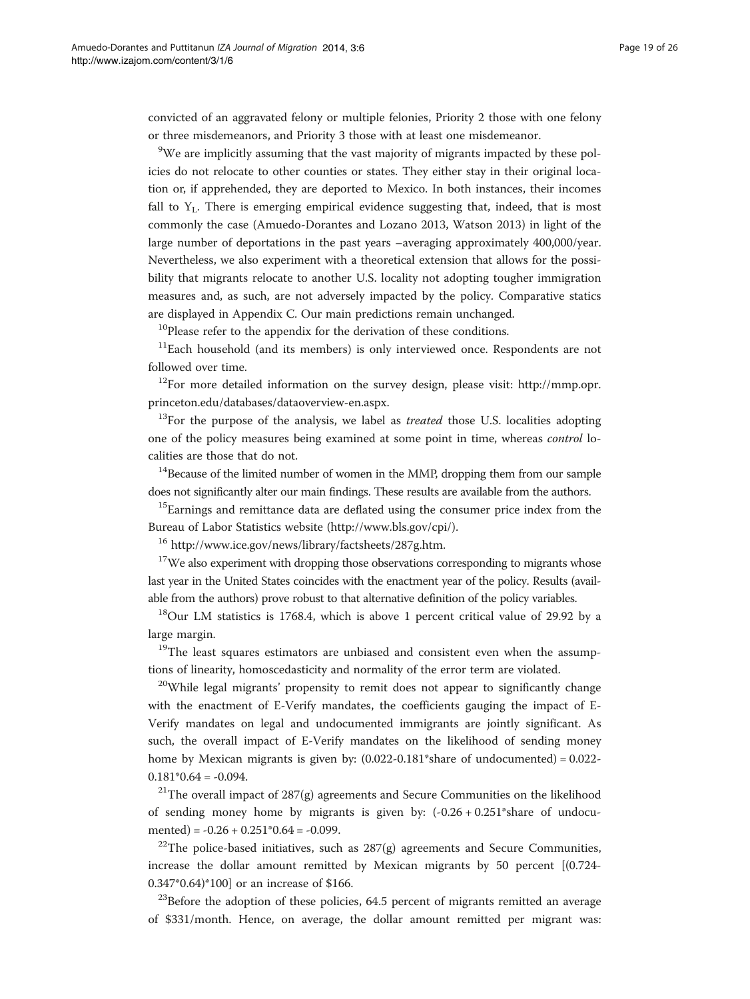convicted of an aggravated felony or multiple felonies, Priority 2 those with one felony or three misdemeanors, and Priority 3 those with at least one misdemeanor.

<sup>9</sup>We are implicitly assuming that the vast majority of migrants impacted by these policies do not relocate to other counties or states. They either stay in their original location or, if apprehended, they are deported to Mexico. In both instances, their incomes fall to  $Y_L$ . There is emerging empirical evidence suggesting that, indeed, that is most commonly the case (Amuedo-Dorantes and Lozano [2013](#page-24-0), Watson [2013](#page-25-0)) in light of the large number of deportations in the past years –averaging approximately 400,000/year. Nevertheless, we also experiment with a theoretical extension that allows for the possibility that migrants relocate to another U.S. locality not adopting tougher immigration measures and, as such, are not adversely impacted by the policy. Comparative statics are displayed in [Appendix C.](#page-22-0) Our main predictions remain unchanged.

 $10P$  Please refer to the appendix for the derivation of these conditions.

<sup>11</sup>Each household (and its members) is only interviewed once. Respondents are not followed over time.

 $12$ For more detailed information on the survey design, please visit: [http://mmp.opr.](http://mmp.opr.princeton.edu/databases/dataoverview-en.aspx) [princeton.edu/databases/dataoverview-en.aspx](http://mmp.opr.princeton.edu/databases/dataoverview-en.aspx).

 $13$ For the purpose of the analysis, we label as *treated* those U.S. localities adopting one of the policy measures being examined at some point in time, whereas control localities are those that do not.

 $14$ Because of the limited number of women in the MMP, dropping them from our sample does not significantly alter our main findings. These results are available from the authors.

<sup>15</sup>Earnings and remittance data are deflated using the consumer price index from the Bureau of Labor Statistics website ([http://www.bls.gov/cpi/\)](http://www.bls.gov/cpi/).

<sup>16</sup> [http://www.ice.gov/news/library/factsheets/287g.htm.](http://www.ice.gov/news/library/factsheets/287g.htm)

 $17$ We also experiment with dropping those observations corresponding to migrants whose last year in the United States coincides with the enactment year of the policy. Results (available from the authors) prove robust to that alternative definition of the policy variables.

 $18$ Our LM statistics is 1768.4, which is above 1 percent critical value of 29.92 by a large margin.

<sup>19</sup>The least squares estimators are unbiased and consistent even when the assumptions of linearity, homoscedasticity and normality of the error term are violated.

<sup>20</sup>While legal migrants' propensity to remit does not appear to significantly change with the enactment of E-Verify mandates, the coefficients gauging the impact of E-Verify mandates on legal and undocumented immigrants are jointly significant. As such, the overall impact of E-Verify mandates on the likelihood of sending money home by Mexican migrants is given by:  $(0.022 - 0.181)$ \*share of undocumented) = 0.022- $0.181*0.64 = -0.094.$ 

<sup>21</sup>The overall impact of  $287(g)$  agreements and Secure Communities on the likelihood of sending money home by migrants is given by:  $(-0.26 + 0.251)$ \*share of undocumented) =  $-0.26 + 0.251*0.64 = -0.099$ .

 $22$ The police-based initiatives, such as  $287(g)$  agreements and Secure Communities, increase the dollar amount remitted by Mexican migrants by 50 percent [(0.724- 0.347\*0.64)\*100] or an increase of \$166.

 $^{23}$ Before the adoption of these policies, 64.5 percent of migrants remitted an average of \$331/month. Hence, on average, the dollar amount remitted per migrant was: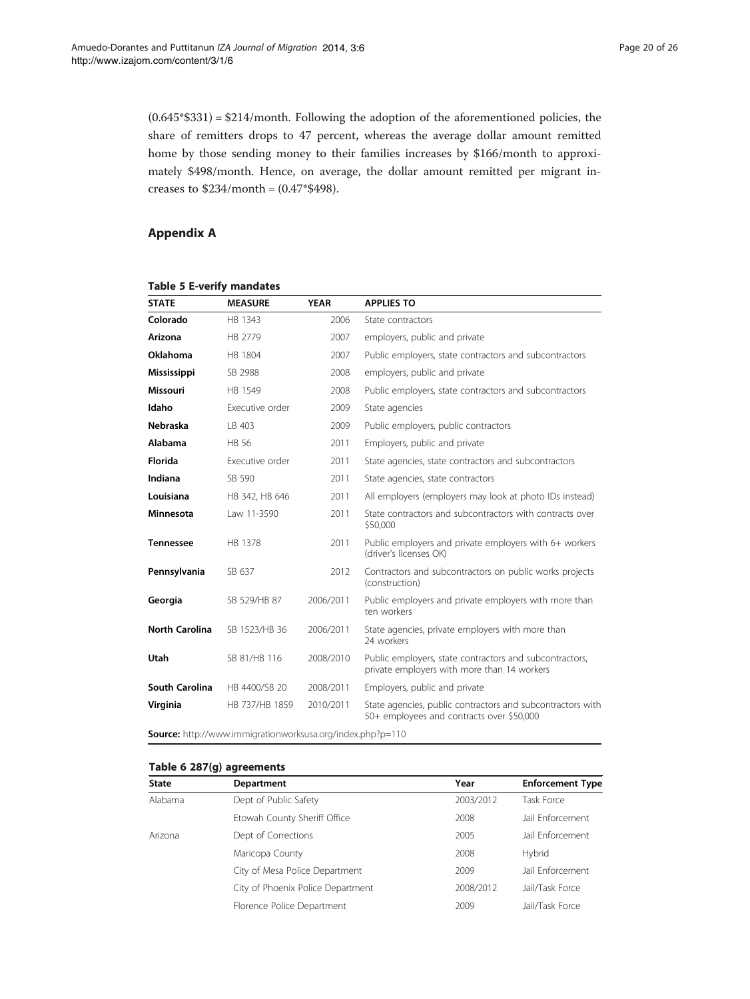<span id="page-19-0"></span>(0.645\*\$331) = \$214/month. Following the adoption of the aforementioned policies, the share of remitters drops to 47 percent, whereas the average dollar amount remitted home by those sending money to their families increases by \$166/month to approximately \$498/month. Hence, on average, the dollar amount remitted per migrant increases to  $$234/month = (0.47*$498).$ 

# Appendix A

| <b>Table 5 E-verify mandates</b> |                 |             |                                                                                                         |
|----------------------------------|-----------------|-------------|---------------------------------------------------------------------------------------------------------|
| <b>STATE</b>                     | <b>MEASURE</b>  | <b>YEAR</b> | <b>APPLIES TO</b>                                                                                       |
| Colorado                         | HB 1343         | 2006        | State contractors                                                                                       |
| Arizona                          | HB 2779         | 2007        | employers, public and private                                                                           |
| Oklahoma                         | HB 1804         | 2007        | Public employers, state contractors and subcontractors                                                  |
| <b>Mississippi</b>               | SB 2988         | 2008        | employers, public and private                                                                           |
| <b>Missouri</b>                  | HB 1549         | 2008        | Public employers, state contractors and subcontractors                                                  |
| Idaho                            | Executive order | 2009        | State agencies                                                                                          |
| Nebraska                         | LB 403          | 2009        | Public employers, public contractors                                                                    |
| Alabama                          | HB 56           | 2011        | Employers, public and private                                                                           |
| Florida                          | Executive order | 2011        | State agencies, state contractors and subcontractors                                                    |
| Indiana                          | SB 590          | 2011        | State agencies, state contractors                                                                       |
| Louisiana                        | HB 342, HB 646  | 2011        | All employers (employers may look at photo IDs instead)                                                 |
| Minnesota                        | Law 11-3590     | 2011        | State contractors and subcontractors with contracts over<br>\$50,000                                    |
| <b>Tennessee</b>                 | HB 1378         | 2011        | Public employers and private employers with 6+ workers<br>(driver's licenses OK)                        |
| Pennsylvania                     | SB 637          | 2012        | Contractors and subcontractors on public works projects<br>(construction)                               |
| Georgia                          | SB 529/HB 87    | 2006/2011   | Public employers and private employers with more than<br>ten workers                                    |
| <b>North Carolina</b>            | SB 1523/HB 36   | 2006/2011   | State agencies, private employers with more than<br>24 workers                                          |
| Utah                             | SB 81/HB 116    | 2008/2010   | Public employers, state contractors and subcontractors,<br>private employers with more than 14 workers  |
| <b>South Carolina</b>            | HB 4400/SB 20   | 2008/2011   | Employers, public and private                                                                           |
| Virginia                         | HB 737/HB 1859  | 2010/2011   | State agencies, public contractors and subcontractors with<br>50+ employees and contracts over \$50,000 |

Source: <http://www.immigrationworksusa.org/index.php?p=110>

# Table 6 287(g) agreements

| <b>State</b> | Department                        | Year      | <b>Enforcement Type</b> |
|--------------|-----------------------------------|-----------|-------------------------|
| Alabama      | Dept of Public Safety             | 2003/2012 | <b>Task Force</b>       |
|              | Etowah County Sheriff Office      | 2008      | Jail Enforcement        |
| Arizona      | Dept of Corrections               | 2005      | Jail Enforcement        |
|              | Maricopa County                   | 2008      | Hybrid                  |
|              | City of Mesa Police Department    | 2009      | Jail Enforcement        |
|              | City of Phoenix Police Department | 2008/2012 | Jail/Task Force         |
|              | Florence Police Department        | 2009      | Jail/Task Force         |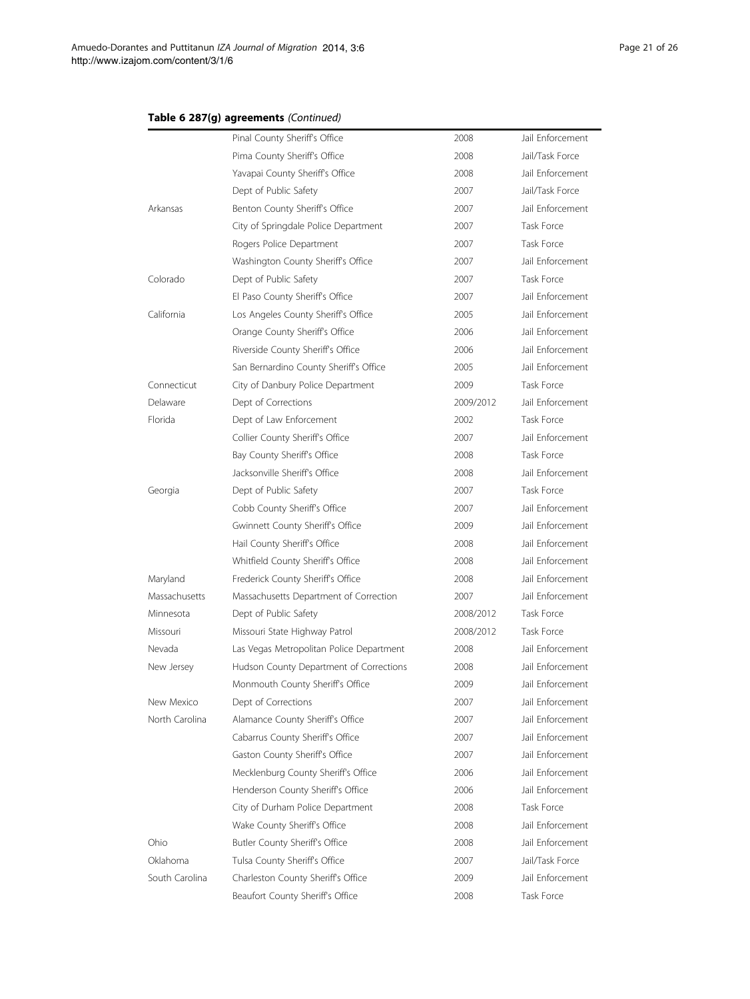# Table 6 287(g) agreements (Continued)

|                | Pinal County Sheriff's Office            | 2008      | Jail Enforcement  |
|----------------|------------------------------------------|-----------|-------------------|
|                | Pima County Sheriff's Office             | 2008      | Jail/Task Force   |
|                | Yavapai County Sheriff's Office          | 2008      | Jail Enforcement  |
|                | Dept of Public Safety                    | 2007      | Jail/Task Force   |
| Arkansas       | Benton County Sheriff's Office           | 2007      | Jail Enforcement  |
|                | City of Springdale Police Department     | 2007      | <b>Task Force</b> |
|                | Rogers Police Department                 | 2007      | <b>Task Force</b> |
|                | Washington County Sheriff's Office       | 2007      | Jail Enforcement  |
| Colorado       | Dept of Public Safety                    | 2007      | <b>Task Force</b> |
|                |                                          | 2007      | Jail Enforcement  |
|                | El Paso County Sheriff's Office          |           |                   |
| California     | Los Angeles County Sheriff's Office      | 2005      | Jail Enforcement  |
|                | Orange County Sheriff's Office           | 2006      | Jail Enforcement  |
|                | Riverside County Sheriff's Office        | 2006      | Jail Enforcement  |
|                | San Bernardino County Sheriff's Office   | 2005      | Jail Enforcement  |
| Connecticut    | City of Danbury Police Department        | 2009      | <b>Task Force</b> |
| Delaware       | Dept of Corrections                      | 2009/2012 | Jail Enforcement  |
| Florida        | Dept of Law Enforcement                  | 2002      | <b>Task Force</b> |
|                | Collier County Sheriff's Office          | 2007      | Jail Enforcement  |
|                | Bay County Sheriff's Office              | 2008      | <b>Task Force</b> |
|                | Jacksonville Sheriff's Office            | 2008      | Jail Enforcement  |
| Georgia        | Dept of Public Safety                    | 2007      | <b>Task Force</b> |
|                | Cobb County Sheriff's Office             | 2007      | Jail Enforcement  |
|                | Gwinnett County Sheriff's Office         | 2009      | Jail Enforcement  |
|                | Hail County Sheriff's Office             | 2008      | Jail Enforcement  |
|                | Whitfield County Sheriff's Office        | 2008      | Jail Enforcement  |
| Maryland       | Frederick County Sheriff's Office        | 2008      | Jail Enforcement  |
| Massachusetts  | Massachusetts Department of Correction   | 2007      | Jail Enforcement  |
| Minnesota      | Dept of Public Safety                    | 2008/2012 | Task Force        |
| Missouri       | Missouri State Highway Patrol            | 2008/2012 | <b>Task Force</b> |
| Nevada         | Las Vegas Metropolitan Police Department | 2008      | Jail Enforcement  |
| New Jersey     | Hudson County Department of Corrections  | 2008      | Jail Enforcement  |
|                | Monmouth County Sheriff's Office         | 2009      | Jail Enforcement  |
| New Mexico     | Dept of Corrections                      | 2007      | Jail Enforcement  |
| North Carolina | Alamance County Sheriff's Office         | 2007      | Jail Enforcement  |
|                | Cabarrus County Sheriff's Office         | 2007      | Jail Enforcement  |
|                | Gaston County Sheriff's Office           | 2007      | Jail Enforcement  |
|                | Mecklenburg County Sheriff's Office      | 2006      | Jail Enforcement  |
|                | Henderson County Sheriff's Office        | 2006      | Jail Enforcement  |
|                | City of Durham Police Department         | 2008      | Task Force        |
|                | Wake County Sheriff's Office             | 2008      | Jail Enforcement  |
| Ohio           | Butler County Sheriff's Office           | 2008      | Jail Enforcement  |
| Oklahoma       | Tulsa County Sheriff's Office            | 2007      | Jail/Task Force   |
| South Carolina | Charleston County Sheriff's Office       | 2009      | Jail Enforcement  |
|                | Beaufort County Sheriff's Office         | 2008      | Task Force        |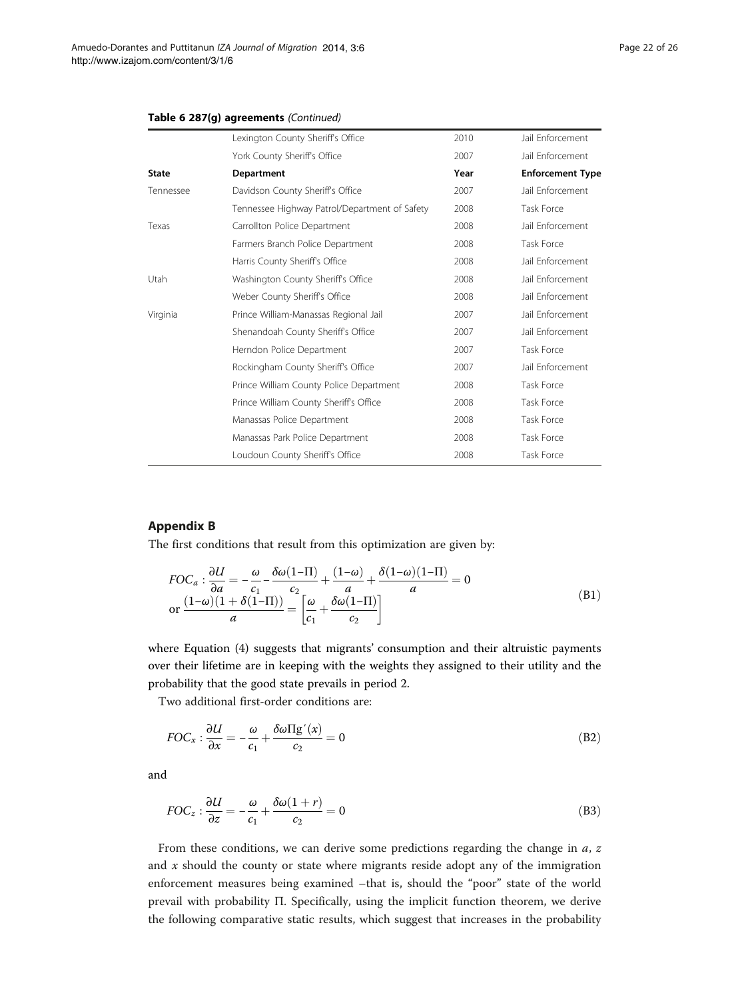|              | Lexington County Sheriff's Office             | 2010 | Jail Enforcement        |
|--------------|-----------------------------------------------|------|-------------------------|
|              | York County Sheriff's Office                  | 2007 | Jail Enforcement        |
| <b>State</b> | Department                                    | Year | <b>Enforcement Type</b> |
| Tennessee    | Davidson County Sheriff's Office              | 2007 | Jail Enforcement        |
|              | Tennessee Highway Patrol/Department of Safety | 2008 | <b>Task Force</b>       |
| Texas        | Carrollton Police Department                  | 2008 | Jail Enforcement        |
|              | Farmers Branch Police Department              | 2008 | <b>Task Force</b>       |
|              | Harris County Sheriff's Office                | 2008 | Jail Enforcement        |
| Utah         | Washington County Sheriff's Office            | 2008 | Jail Enforcement        |
|              | Weber County Sheriff's Office                 | 2008 | Jail Enforcement        |
| Virginia     | Prince William-Manassas Regional Jail         | 2007 | Jail Enforcement        |
|              | Shenandoah County Sheriff's Office            | 2007 | Jail Enforcement        |
|              | Herndon Police Department                     | 2007 | <b>Task Force</b>       |
|              | Rockingham County Sheriff's Office            | 2007 | Jail Enforcement        |
|              | Prince William County Police Department       | 2008 | <b>Task Force</b>       |
|              | Prince William County Sheriff's Office        | 2008 | <b>Task Force</b>       |
|              | Manassas Police Department                    | 2008 | <b>Task Force</b>       |
|              | Manassas Park Police Department               | 2008 | <b>Task Force</b>       |
|              | Loudoun County Sheriff's Office               | 2008 | <b>Task Force</b>       |

#### Table 6 287(g) agreements (Continued)

#### Appendix B

The first conditions that result from this optimization are given by:

$$
FOC_a: \frac{\partial U}{\partial a} = -\frac{\omega}{c_1} - \frac{\delta\omega(1-\Pi)}{c_2} + \frac{(1-\omega)}{a} + \frac{\delta(1-\omega)(1-\Pi)}{a} = 0
$$
  
or 
$$
\frac{(1-\omega)(1+\delta(1-\Pi))}{a} = \left[\frac{\omega}{c_1} + \frac{\delta\omega(1-\Pi)}{c_2}\right]
$$
(B1)

where Equation ([4\)](#page-9-0) suggests that migrants' consumption and their altruistic payments over their lifetime are in keeping with the weights they assigned to their utility and the probability that the good state prevails in period 2.

Two additional first-order conditions are:

$$
FOC_x: \frac{\partial U}{\partial x} = -\frac{\omega}{c_1} + \frac{\delta \omega \Pi g'(x)}{c_2} = 0
$$
\n(B2)

and

$$
FOC_z: \frac{\partial U}{\partial z} = -\frac{\omega}{c_1} + \frac{\delta \omega (1+r)}{c_2} = 0
$$
 (B3)

From these conditions, we can derive some predictions regarding the change in  $a$ ,  $z$ and  $x$  should the county or state where migrants reside adopt any of the immigration enforcement measures being examined –that is, should the "poor" state of the world prevail with probability Π. Specifically, using the implicit function theorem, we derive the following comparative static results, which suggest that increases in the probability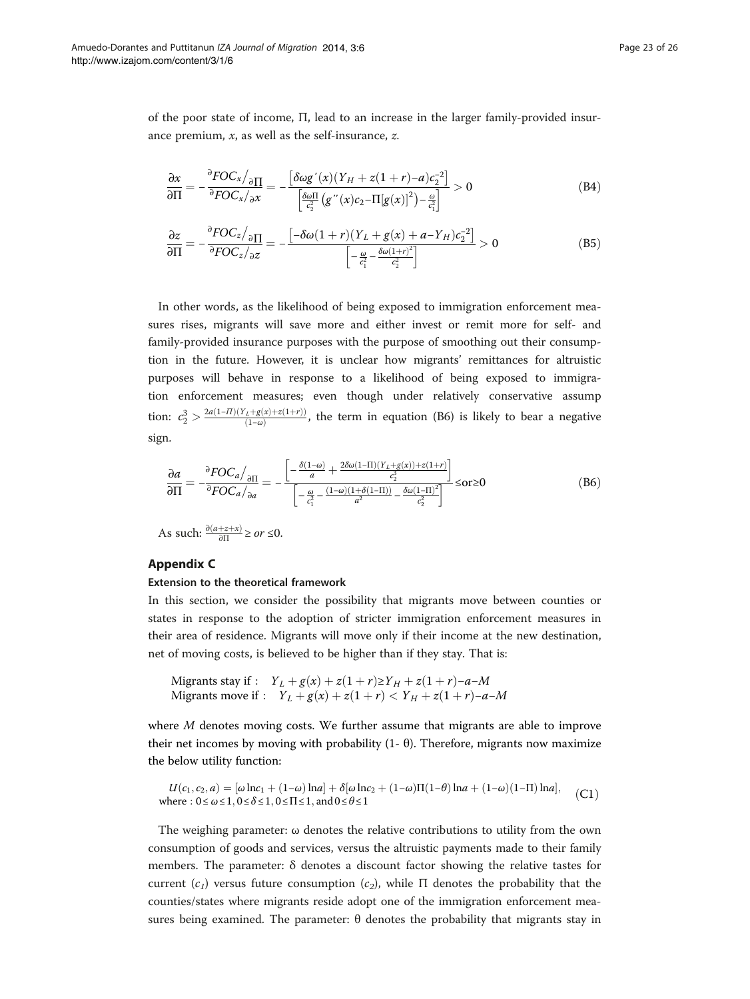<span id="page-22-0"></span>of the poor state of income, Π, lead to an increase in the larger family-provided insurance premium,  $x$ , as well as the self-insurance,  $z$ .

$$
\frac{\partial x}{\partial \Pi} = -\frac{\partial FOC_x}{\partial FOC_x /_{\partial} x} = -\frac{\left[\delta \omega g'(x)(Y_H + z(1+r) - a)c_2^{-2}\right]}{\left[\frac{\delta \omega \Pi}{c_2^2} \left(g''(x)c_2 - \Pi[g(x)]^2\right) - \frac{\omega}{c_1^2}\right]} > 0
$$
\n(B4)

$$
\frac{\partial z}{\partial \Pi} = -\frac{\partial FOC_z}{\partial FOC_z /_{\partial Z}} = -\frac{\left[ -\delta \omega (1+r)(Y_L + g(x) + a - Y_H)c_2^{-2} \right]}{\left[ -\frac{\omega}{c_1^2} - \frac{\delta \omega (1+r)^2}{c_2^2} \right]} > 0
$$
\n(B5)

In other words, as the likelihood of being exposed to immigration enforcement measures rises, migrants will save more and either invest or remit more for self- and family-provided insurance purposes with the purpose of smoothing out their consumption in the future. However, it is unclear how migrants' remittances for altruistic purposes will behave in response to a likelihood of being exposed to immigration enforcement measures; even though under relatively conservative assump tion:  $c_2^3 > \frac{2a(1-H)(Y_L+g(x)+z(1+r))}{(1-\omega)}$ , the term in equation (B6) is likely to bear a negative sign.

$$
\frac{\partial a}{\partial \Pi} = -\frac{\partial FOC_a}{\partial FOC_a /_{\partial a}} = -\frac{\left[ -\frac{\delta(1-\omega)}{a} + \frac{2\delta\omega(1-\Pi)(Y_L + g(x)) + z(1+r)}{c_2^3} \right]}{\left[ -\frac{\omega}{c_1^2} - \frac{(1-\omega)(1+\delta(1-\Pi))}{a^2} - \frac{\delta\omega(1-\Pi)^2}{c_2^2} \right]} \leq \text{or} \geq 0 \tag{B6}
$$

As such:  $\frac{\partial (a+z+x)}{\partial \Pi} \geq or \leq 0$ .

## Appendix C

#### Extension to the theoretical framework

In this section, we consider the possibility that migrants move between counties or states in response to the adoption of stricter immigration enforcement measures in their area of residence. Migrants will move only if their income at the new destination, net of moving costs, is believed to be higher than if they stay. That is:

Migrants stay if : 
$$
Y_L + g(x) + z(1+r) \ge Y_H + z(1+r) - a - M
$$
  
Migrants move if :  $Y_L + g(x) + z(1+r) < Y_H + z(1+r) - a - M$ 

where M denotes moving costs. We further assume that migrants are able to improve their net incomes by moving with probability (1- θ). Therefore, migrants now maximize the below utility function:

$$
U(c_1, c_2, a) = [\omega \ln c_1 + (1-\omega) \ln a] + \delta[\omega \ln c_2 + (1-\omega)\Pi(1-\theta) \ln a + (1-\omega)(1-\Pi) \ln a],
$$
  
where: 0 \le \omega \le 1, 0 \le \delta \le 1, 0 \le \Pi \le 1, and 0 \le \theta \le 1

The weighing parameter:  $\omega$  denotes the relative contributions to utility from the own consumption of goods and services, versus the altruistic payments made to their family members. The parameter: δ denotes a discount factor showing the relative tastes for current ( $c_1$ ) versus future consumption ( $c_2$ ), while Π denotes the probability that the counties/states where migrants reside adopt one of the immigration enforcement measures being examined. The parameter:  $θ$  denotes the probability that migrants stay in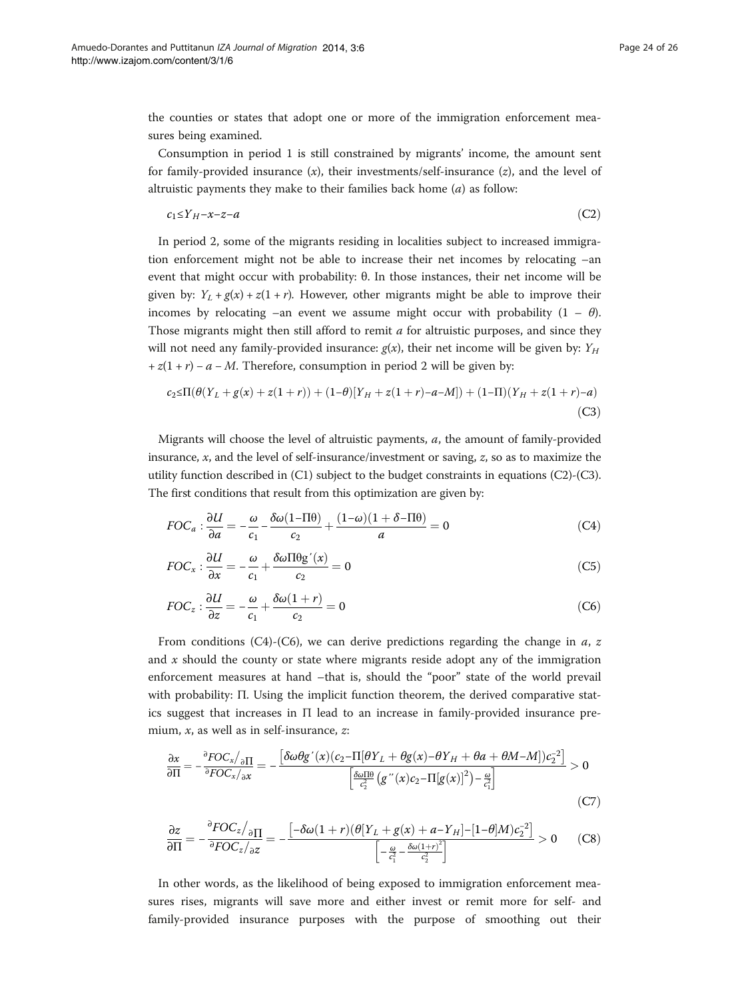the counties or states that adopt one or more of the immigration enforcement measures being examined.

Consumption in period 1 is still constrained by migrants' income, the amount sent for family-provided insurance  $(x)$ , their investments/self-insurance  $(z)$ , and the level of altruistic payments they make to their families back home  $(a)$  as follow:

$$
c_1 \le Y_H - x - z - a \tag{C2}
$$

In period 2, some of the migrants residing in localities subject to increased immigration enforcement might not be able to increase their net incomes by relocating –an event that might occur with probability: θ. In those instances, their net income will be given by:  $Y_L + g(x) + z(1 + r)$ . However, other migrants might be able to improve their incomes by relocating –an event we assume might occur with probability  $(1 - \theta)$ . Those migrants might then still afford to remit a for altruistic purposes, and since they will not need any family-provided insurance:  $g(x)$ , their net income will be given by:  $Y_H$  $+z(1 + r) - a - M$ . Therefore, consumption in period 2 will be given by:

$$
c_2 \le \Pi(\theta(Y_L + g(x) + z(1+r)) + (1-\theta)[Y_H + z(1+r) - a - M]) + (1-\Pi)(Y_H + z(1+r) - a)
$$
\n(C3)

Migrants will choose the level of altruistic payments,  $a$ , the amount of family-provided insurance, x, and the level of self-insurance/investment or saving, z, so as to maximize the utility function described in [\(C1](#page-22-0)) subject to the budget constraints in equations (C2)-(C3). The first conditions that result from this optimization are given by:

$$
FOC_a: \frac{\partial U}{\partial a} = -\frac{\omega}{c_1} - \frac{\delta \omega (1 - \Pi \theta)}{c_2} + \frac{(1 - \omega)(1 + \delta - \Pi \theta)}{a} = 0
$$
 (C4)

$$
FOC_x: \frac{\partial U}{\partial x} = -\frac{\omega}{c_1} + \frac{\delta \omega \Pi \theta g'(x)}{c_2} = 0
$$
 (C5)

$$
FOC_z: \frac{\partial U}{\partial z} = -\frac{\omega}{c_1} + \frac{\delta \omega (1+r)}{c_2} = 0
$$
 (C6)

From conditions (C4)-(C6), we can derive predictions regarding the change in  $a, z$ and  $x$  should the county or state where migrants reside adopt any of the immigration enforcement measures at hand –that is, should the "poor" state of the world prevail with probability: Π. Using the implicit function theorem, the derived comparative statics suggest that increases in  $\Pi$  lead to an increase in family-provided insurance premium,  $x$ , as well as in self-insurance,  $z$ :

$$
\frac{\partial x}{\partial \Pi} = -\frac{\partial FOC_x}{\partial FOC_x /_{\partial X}} = -\frac{\left[\delta \omega \theta g'(x)(c_2 - \Pi[\theta Y_L + \theta g(x) - \theta Y_H + \theta a + \theta M - M])c_2^{-2}\right]}{\left[\frac{\delta \omega \Pi \theta}{c_2^2} \left(g''(x)c_2 - \Pi[g(x)]^2\right) - \frac{\omega}{c_1^2}\right]} > 0\tag{C7}
$$

$$
\frac{\partial z}{\partial \Pi} = -\frac{\partial FOC_z}{\partial FOC_z /_{\partial Z}} = -\frac{\left[ -\delta \omega (1+r)(\theta [Y_L + g(x) + a - Y_H] - [1-\theta]M)c_2^{-2} \right]}{\left[ -\frac{\omega}{c_1^2} - \frac{\delta \omega (1+r)^2}{c_2^2} \right]} > 0 \tag{C8}
$$

In other words, as the likelihood of being exposed to immigration enforcement measures rises, migrants will save more and either invest or remit more for self- and family-provided insurance purposes with the purpose of smoothing out their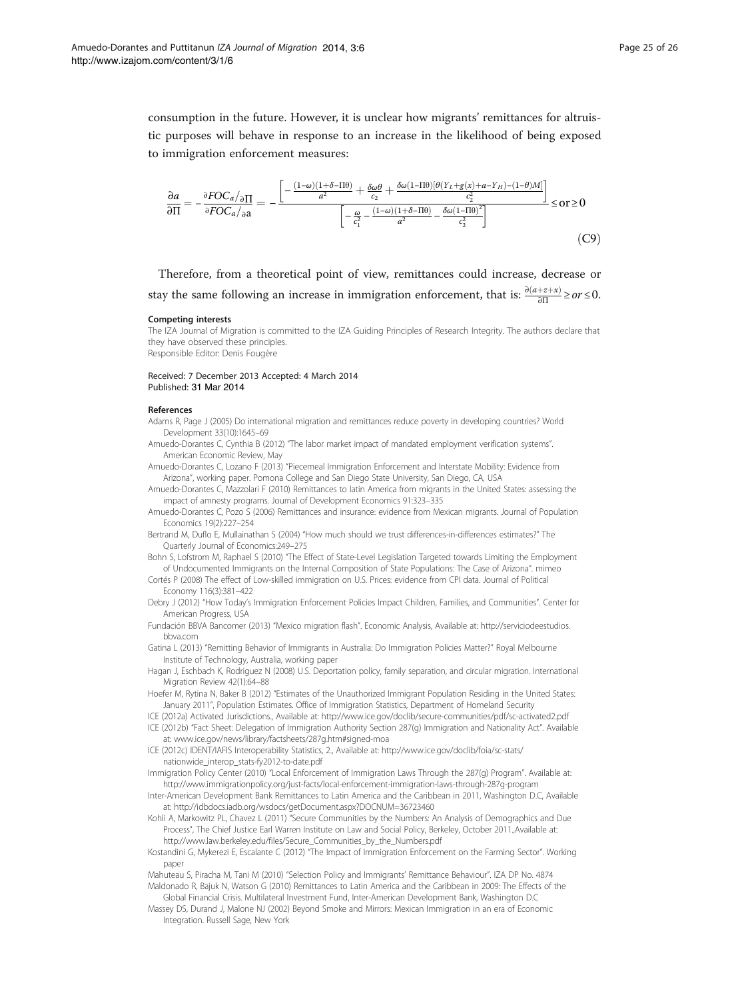<span id="page-24-0"></span>consumption in the future. However, it is unclear how migrants' remittances for altruistic purposes will behave in response to an increase in the likelihood of being exposed to immigration enforcement measures:

$$
\frac{\partial a}{\partial \Pi} = -\frac{\partial FOC_a}{\partial FOC_a / \partial \Pi} = -\frac{\left[ -\frac{(1-\omega)(1+\delta-\Pi\theta)}{a^2} + \frac{\delta\omega\theta}{c_2} + \frac{\delta\omega(1-\Pi\theta)[\theta(Y_L+g(x)+a-Y_H)-(1-\theta)M]}{c_2^2} \right]}{\left[ -\frac{\omega}{c_1^2} - \frac{(1-\omega)(1+\delta-\Pi\theta)}{a^2} - \frac{\delta\omega(1-\Pi\theta)^2}{c_2^2} \right]} \le \text{or} \ge 0
$$
\n(C9)

Therefore, from a theoretical point of view, remittances could increase, decrease or stay the same following an increase in immigration enforcement, that is:  $\frac{\partial (a+z+x)}{\partial \Pi} \geq or \leq 0$ .

#### Competing interests

The IZA Journal of Migration is committed to the IZA Guiding Principles of Research Integrity. The authors declare that they have observed these principles. Responsible Editor: Denis Fougère

#### Received: 7 December 2013 Accepted: 4 March 2014 Published: 31 Mar 2014

#### References

- Adams R, Page J (2005) Do international migration and remittances reduce poverty in developing countries? World Development 33(10):1645–69
- Amuedo-Dorantes C, Cynthia B (2012) "The labor market impact of mandated employment verification systems". American Economic Review, May
- Amuedo-Dorantes C, Lozano F (2013) "Piecemeal Immigration Enforcement and Interstate Mobility: Evidence from Arizona", working paper. Pomona College and San Diego State University, San Diego, CA, USA
- Amuedo-Dorantes C, Mazzolari F (2010) Remittances to latin America from migrants in the United States: assessing the impact of amnesty programs. Journal of Development Economics 91:323–335
- Amuedo-Dorantes C, Pozo S (2006) Remittances and insurance: evidence from Mexican migrants. Journal of Population Economics 19(2):227–254
- Bertrand M, Duflo E, Mullainathan S (2004) "How much should we trust differences-in-differences estimates?" The Quarterly Journal of Economics:249–275
- Bohn S, Lofstrom M, Raphael S (2010) "The Effect of State-Level Legislation Targeted towards Limiting the Employment of Undocumented Immigrants on the Internal Composition of State Populations: The Case of Arizona". mimeo
- Cortés P (2008) The effect of Low-skilled immigration on U.S. Prices: evidence from CPI data. Journal of Political Economy 116(3):381–422
- Debry J (2012) "How Today's Immigration Enforcement Policies Impact Children, Families, and Communities". Center for American Progress, USA
- Fundación BBVA Bancomer (2013) "Mexico migration flash". Economic Analysis, Available at: [http://serviciodeestudios.](http://serviciodeestudios.bbva.com/) [bbva.com](http://serviciodeestudios.bbva.com/)
- Gatina L (2013) "Remitting Behavior of Immigrants in Australia: Do Immigration Policies Matter?" Royal Melbourne Institute of Technology, Australia, working paper
- Hagan J, Eschbach K, Rodriguez N (2008) U.S. Deportation policy, family separation, and circular migration. International Migration Review 42(1):64–88
- Hoefer M, Rytina N, Baker B (2012) "Estimates of the Unauthorized Immigrant Population Residing in the United States: January 2011", Population Estimates. Office of Immigration Statistics, Department of Homeland Security
- ICE (2012a) Activated Jurisdictions., Available at:<http://www.ice.gov/doclib/secure-communities/pdf/sc-activated2.pdf> ICE (2012b) "Fact Sheet: Delegation of Immigration Authority Section 287(g) Immigration and Nationality Act". Available
- at: [www.ice.gov/news/library/factsheets/287g.htm#signed-moa](http://www.ice.gov/news/library/factsheets/287g.htm#signed-moa)
- ICE (2012c) IDENT/IAFIS Interoperability Statistics, 2., Available at: [http://www.ice.gov/doclib/foia/sc-stats/](http://www.ice.gov/doclib/foia/sc-stats/nationwide_interop_stats-fy2012-to-date.pdf) [nationwide\\_interop\\_stats-fy2012-to-date.pdf](http://www.ice.gov/doclib/foia/sc-stats/nationwide_interop_stats-fy2012-to-date.pdf)
- Immigration Policy Center (2010) "Local Enforcement of Immigration Laws Through the 287(g) Program". Available at: <http://www.immigrationpolicy.org/just-facts/local-enforcement-immigration-laws-through-287g-program>
- Inter-American Development Bank Remittances to Latin America and the Caribbean in 2011, Washington D.C, Available at:<http://idbdocs.iadb.org/wsdocs/getDocument.aspx?DOCNUM=36723460>
- Kohli A, Markowitz PL, Chavez L (2011) "Secure Communities by the Numbers: An Analysis of Demographics and Due Process", The Chief Justice Earl Warren Institute on Law and Social Policy, Berkeley, October 2011.,Available at: [http://www.law.berkeley.edu/files/Secure\\_Communities\\_by\\_the\\_Numbers.pdf](http://www.law.berkeley.edu/files/Secure_Communities_by_the_Numbers.pdf)
- Kostandini G, Mykerezi E, Escalante C (2012) "The Impact of Immigration Enforcement on the Farming Sector". Working paper
- Mahuteau S, Piracha M, Tani M (2010) "Selection Policy and Immigrants' Remittance Behaviour". IZA DP No. 4874 Maldonado R, Bajuk N, Watson G (2010) Remittances to Latin America and the Caribbean in 2009: The Effects of the
- Global Financial Crisis. Multilateral Investment Fund, Inter-American Development Bank, Washington D.C Massey DS, Durand J, Malone NJ (2002) Beyond Smoke and Mirrors: Mexican Immigration in an era of Economic Integration. Russell Sage, New York